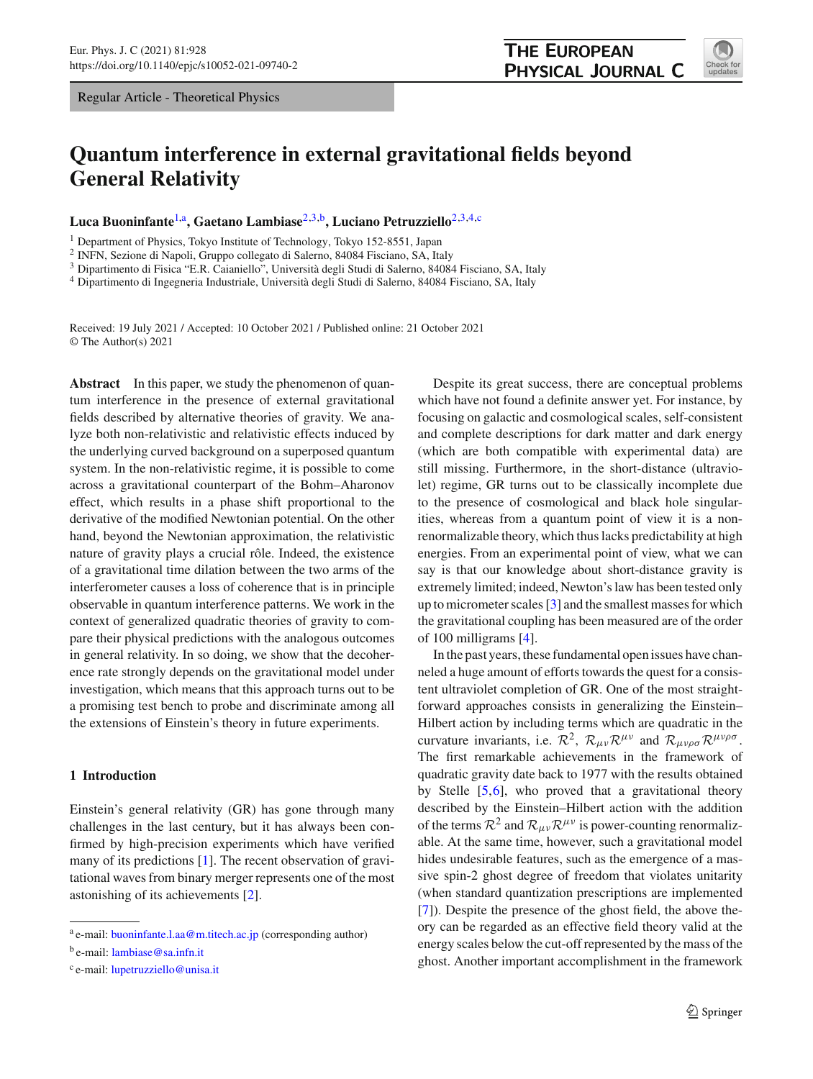Regular Article - Theoretical Physics

# **Quantum interference in external gravitational fields beyond General Relativity**

**Luca Buoninfante**[1,](#page-0-0)a**, Gaetano Lambiase**[2](#page-0-0)[,3,](#page-0-1)b**, Luciano Petruzziello**[2](#page-0-0)[,3](#page-0-1)[,4,](#page-0-2)c

<sup>1</sup> Department of Physics, Tokyo Institute of Technology, Tokyo 152-8551, Japan

<sup>2</sup> INFN, Sezione di Napoli, Gruppo collegato di Salerno, 84084 Fisciano, SA, Italy

<sup>3</sup> Dipartimento di Fisica "E.R. Caianiello", Università degli Studi di Salerno, 84084 Fisciano, SA, Italy

<sup>4</sup> Dipartimento di Ingegneria Industriale, Università degli Studi di Salerno, 84084 Fisciano, SA, Italy

Received: 19 July 2021 / Accepted: 10 October 2021 / Published online: 21 October 2021 © The Author(s) 2021

**Abstract** In this paper, we study the phenomenon of quantum interference in the presence of external gravitational fields described by alternative theories of gravity. We analyze both non-relativistic and relativistic effects induced by the underlying curved background on a superposed quantum system. In the non-relativistic regime, it is possible to come across a gravitational counterpart of the Bohm–Aharonov effect, which results in a phase shift proportional to the derivative of the modified Newtonian potential. On the other hand, beyond the Newtonian approximation, the relativistic nature of gravity plays a crucial rôle. Indeed, the existence of a gravitational time dilation between the two arms of the interferometer causes a loss of coherence that is in principle observable in quantum interference patterns. We work in the context of generalized quadratic theories of gravity to compare their physical predictions with the analogous outcomes in general relativity. In so doing, we show that the decoherence rate strongly depends on the gravitational model under investigation, which means that this approach turns out to be a promising test bench to probe and discriminate among all the extensions of Einstein's theory in future experiments.

## **1 Introduction**

Einstein's general relativity (GR) has gone through many challenges in the last century, but it has always been confirmed by high-precision experiments which have verified many of its predictions [\[1](#page-14-0)]. The recent observation of gravitational waves from binary merger represents one of the most astonishing of its achievements [\[2](#page-14-1)].

<span id="page-0-2"></span><span id="page-0-1"></span><span id="page-0-0"></span>Despite its great success, there are conceptual problems which have not found a definite answer yet. For instance, by focusing on galactic and cosmological scales, self-consistent and complete descriptions for dark matter and dark energy (which are both compatible with experimental data) are still missing. Furthermore, in the short-distance (ultraviolet) regime, GR turns out to be classically incomplete due to the presence of cosmological and black hole singularities, whereas from a quantum point of view it is a nonrenormalizable theory, which thus lacks predictability at high energies. From an experimental point of view, what we can say is that our knowledge about short-distance gravity is extremely limited; indeed, Newton's law has been tested only up to micrometer scales [\[3](#page-14-2)] and the smallest masses for which the gravitational coupling has been measured are of the order of 100 milligrams [\[4](#page-14-3)].

In the past years, these fundamental open issues have channeled a huge amount of efforts towards the quest for a consistent ultraviolet completion of GR. One of the most straightforward approaches consists in generalizing the Einstein– Hilbert action by including terms which are quadratic in the curvature invariants, i.e.  $\mathcal{R}^2$ ,  $\mathcal{R}_{\mu\nu} \mathcal{R}^{\mu\nu}$  and  $\mathcal{R}_{\mu\nu\rho\sigma} \mathcal{R}^{\mu\nu\rho\sigma}$ . The first remarkable achievements in the framework of quadratic gravity date back to 1977 with the results obtained by Stelle [\[5](#page-14-4)[,6](#page-14-5)], who proved that a gravitational theory described by the Einstein–Hilbert action with the addition of the terms  $\mathcal{R}^2$  and  $\mathcal{R}_{\mu\nu}\mathcal{R}^{\mu\nu}$  is power-counting renormalizable. At the same time, however, such a gravitational model hides undesirable features, such as the emergence of a massive spin-2 ghost degree of freedom that violates unitarity (when standard quantization prescriptions are implemented [\[7](#page-14-6)]). Despite the presence of the ghost field, the above theory can be regarded as an effective field theory valid at the energy scales below the cut-off represented by the mass of the ghost. Another important accomplishment in the framework



<sup>a</sup> e-mail: [buoninfante.l.aa@m.titech.ac.jp](mailto:buoninfante.l.aa@m.titech.ac.jp) (corresponding author)

<sup>b</sup> e-mail: [lambiase@sa.infn.it](mailto:lambiase@sa.infn.it)

<sup>c</sup> e-mail: [lupetruzziello@unisa.it](mailto:lupetruzziello@unisa.it)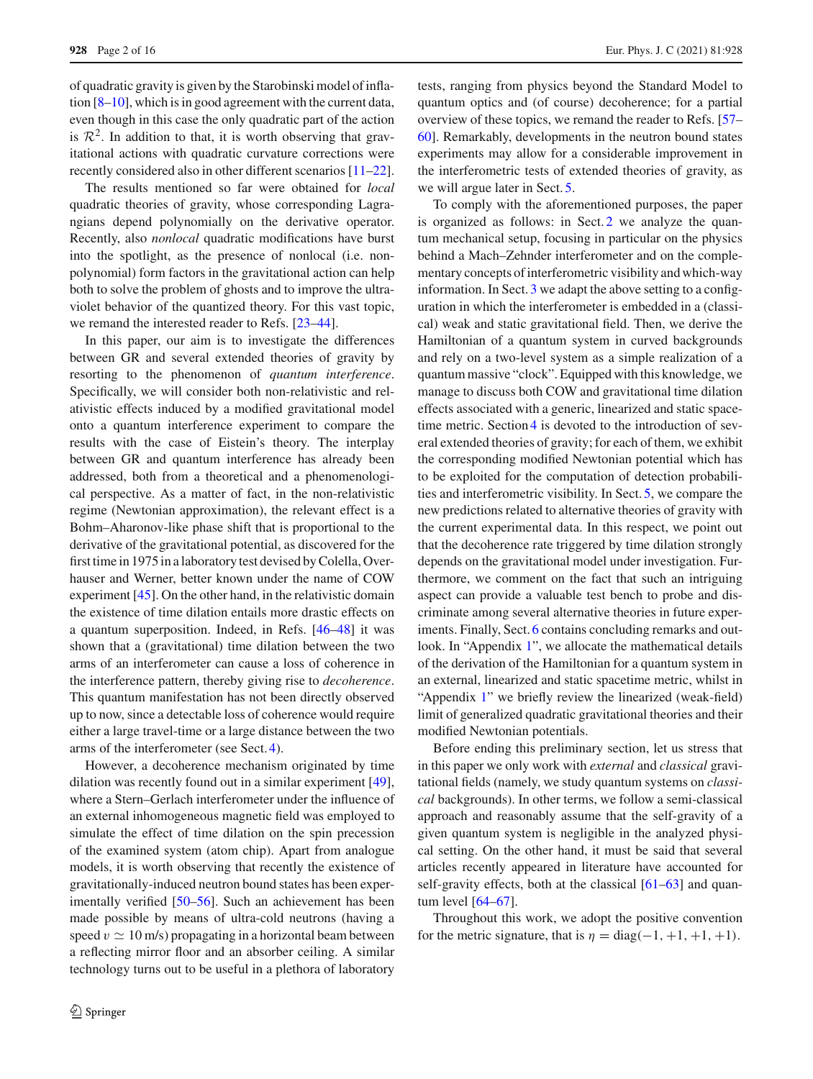of quadratic gravity is given by the Starobinski model of inflation [\[8](#page-14-7)[–10](#page-14-8)], which is in good agreement with the current data, even though in this case the only quadratic part of the action is  $\mathcal{R}^2$ . In addition to that, it is worth observing that gravitational actions with quadratic curvature corrections were recently considered also in other different scenarios [\[11](#page-14-9)[–22](#page-14-10)].

The results mentioned so far were obtained for *local* quadratic theories of gravity, whose corresponding Lagrangians depend polynomially on the derivative operator. Recently, also *nonlocal* quadratic modifications have burst into the spotlight, as the presence of nonlocal (i.e. nonpolynomial) form factors in the gravitational action can help both to solve the problem of ghosts and to improve the ultraviolet behavior of the quantized theory. For this vast topic, we remand the interested reader to Refs. [\[23](#page-14-11)[–44](#page-14-12)].

In this paper, our aim is to investigate the differences between GR and several extended theories of gravity by resorting to the phenomenon of *quantum interference*. Specifically, we will consider both non-relativistic and relativistic effects induced by a modified gravitational model onto a quantum interference experiment to compare the results with the case of Eistein's theory. The interplay between GR and quantum interference has already been addressed, both from a theoretical and a phenomenological perspective. As a matter of fact, in the non-relativistic regime (Newtonian approximation), the relevant effect is a Bohm–Aharonov-like phase shift that is proportional to the derivative of the gravitational potential, as discovered for the first time in 1975 in a laboratory test devised by Colella, Overhauser and Werner, better known under the name of COW experiment [\[45\]](#page-14-13). On the other hand, in the relativistic domain the existence of time dilation entails more drastic effects on a quantum superposition. Indeed, in Refs. [\[46](#page-14-14)[–48\]](#page-14-15) it was shown that a (gravitational) time dilation between the two arms of an interferometer can cause a loss of coherence in the interference pattern, thereby giving rise to *decoherence*. This quantum manifestation has not been directly observed up to now, since a detectable loss of coherence would require either a large travel-time or a large distance between the two arms of the interferometer (see Sect. [4\)](#page-9-0).

However, a decoherence mechanism originated by time dilation was recently found out in a similar experiment [\[49](#page-14-16)], where a Stern–Gerlach interferometer under the influence of an external inhomogeneous magnetic field was employed to simulate the effect of time dilation on the spin precession of the examined system (atom chip). Apart from analogue models, it is worth observing that recently the existence of gravitationally-induced neutron bound states has been experimentally verified [\[50](#page-14-17)[–56](#page-14-18)]. Such an achievement has been made possible by means of ultra-cold neutrons (having a speed  $v \simeq 10$  m/s) propagating in a horizontal beam between a reflecting mirror floor and an absorber ceiling. A similar technology turns out to be useful in a plethora of laboratory tests, ranging from physics beyond the Standard Model to quantum optics and (of course) decoherence; for a partial overview of these topics, we remand the reader to Refs. [\[57](#page-14-19)– [60](#page-15-0)]. Remarkably, developments in the neutron bound states experiments may allow for a considerable improvement in the interferometric tests of extended theories of gravity, as we will argue later in Sect. [5.](#page-10-0)

To comply with the aforementioned purposes, the paper is organized as follows: in Sect. [2](#page-2-0) we analyze the quantum mechanical setup, focusing in particular on the physics behind a Mach–Zehnder interferometer and on the complementary concepts of interferometric visibility and which-way information. In Sect. [3](#page-4-0) we adapt the above setting to a configuration in which the interferometer is embedded in a (classical) weak and static gravitational field. Then, we derive the Hamiltonian of a quantum system in curved backgrounds and rely on a two-level system as a simple realization of a quantum massive "clock". Equipped with this knowledge, we manage to discuss both COW and gravitational time dilation effects associated with a generic, linearized and static spacetime metric. Section [4](#page-9-0) is devoted to the introduction of several extended theories of gravity; for each of them, we exhibit the corresponding modified Newtonian potential which has to be exploited for the computation of detection probabilities and interferometric visibility. In Sect. [5,](#page-10-0) we compare the new predictions related to alternative theories of gravity with the current experimental data. In this respect, we point out that the decoherence rate triggered by time dilation strongly depends on the gravitational model under investigation. Furthermore, we comment on the fact that such an intriguing aspect can provide a valuable test bench to probe and discriminate among several alternative theories in future exper-iments. Finally, Sect. [6](#page-12-0) contains concluding remarks and outlook. In "Appendix [1"](#page-12-1), we allocate the mathematical details of the derivation of the Hamiltonian for a quantum system in an external, linearized and static spacetime metric, whilst in "Appendix [1"](#page-13-0) we briefly review the linearized (weak-field) limit of generalized quadratic gravitational theories and their modified Newtonian potentials.

Before ending this preliminary section, let us stress that in this paper we only work with *external* and *classical* gravitational fields (namely, we study quantum systems on *classical* backgrounds). In other terms, we follow a semi-classical approach and reasonably assume that the self-gravity of a given quantum system is negligible in the analyzed physical setting. On the other hand, it must be said that several articles recently appeared in literature have accounted for self-gravity effects, both at the classical  $[61–63]$  $[61–63]$  and quantum level [\[64](#page-15-3)[–67\]](#page-15-4).

Throughout this work, we adopt the positive convention for the metric signature, that is  $\eta = \text{diag}(-1, +1, +1, +1)$ .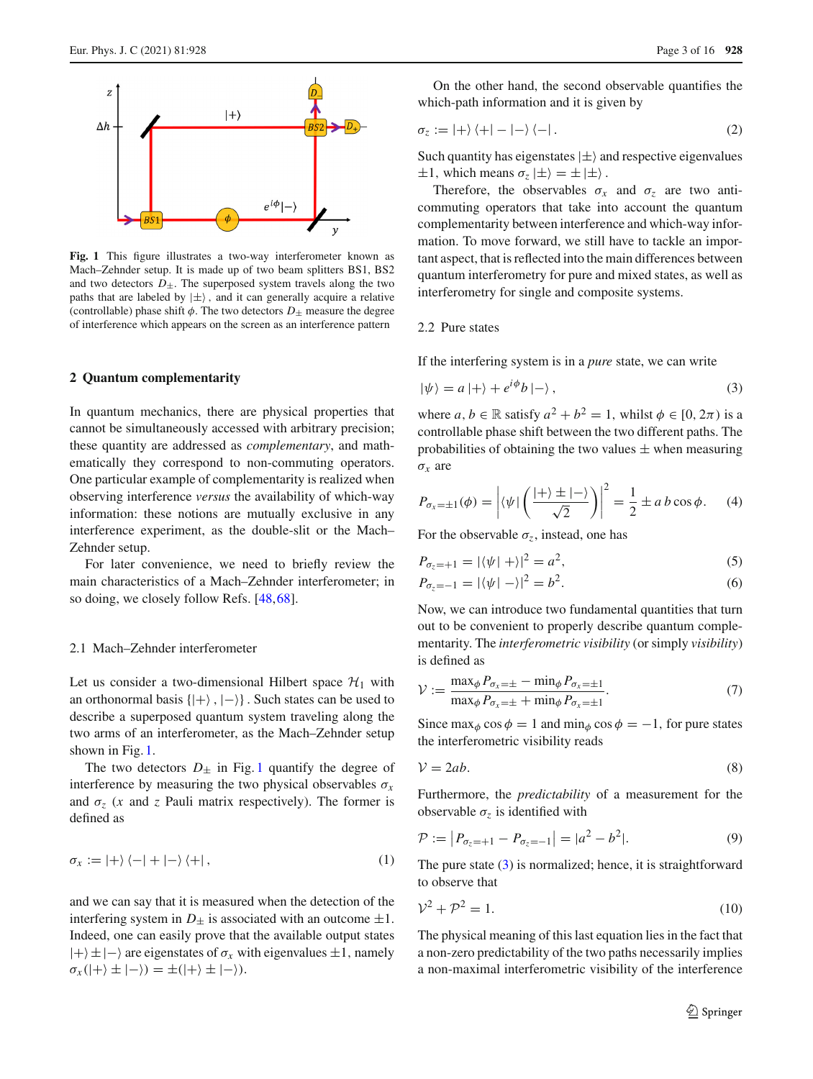

<span id="page-2-1"></span>**Fig. 1** This figure illustrates a two-way interferometer known as Mach–Zehnder setup. It is made up of two beam splitters BS1, BS2 and two detectors  $D_{\pm}$ . The superposed system travels along the two paths that are labeled by  $|\pm\rangle$ , and it can generally acquire a relative (controllable) phase shift  $\phi$ . The two detectors  $D_{\pm}$  measure the degree of interference which appears on the screen as an interference pattern

#### <span id="page-2-0"></span>**2 Quantum complementarity**

In quantum mechanics, there are physical properties that cannot be simultaneously accessed with arbitrary precision; these quantity are addressed as *complementary*, and mathematically they correspond to non-commuting operators. One particular example of complementarity is realized when observing interference *versus* the availability of which-way information: these notions are mutually exclusive in any interference experiment, as the double-slit or the Mach– Zehnder setup.

For later convenience, we need to briefly review the main characteristics of a Mach–Zehnder interferometer; in so doing, we closely follow Refs. [\[48,](#page-14-15)[68\]](#page-15-5).

#### 2.1 Mach–Zehnder interferometer

Let us consider a two-dimensional Hilbert space  $\mathcal{H}_1$  with an orthonormal basis  $\{|\rangle, |\rangle\}$ . Such states can be used to describe a superposed quantum system traveling along the two arms of an interferometer, as the Mach–Zehnder setup shown in Fig. [1.](#page-2-1)

The two detectors  $D_{\pm}$  in Fig. [1](#page-2-1) quantify the degree of interference by measuring the two physical observables  $\sigma_x$ and  $\sigma_z$  (*x* and *z* Pauli matrix respectively). The former is defined as

$$
\sigma_x := |+\rangle \langle -| + |-\rangle \langle +|,\tag{1}
$$

and we can say that it is measured when the detection of the interfering system in  $D_{\pm}$  is associated with an outcome  $\pm 1$ . Indeed, one can easily prove that the available output states |+±|− are eigenstates of σ*<sup>x</sup>* with eigenvalues ±1, namely  $\sigma_x(|+\rangle \pm |-\rangle) = \pm(|+\rangle \pm |-\rangle).$ 

On the other hand, the second observable quantifies the which-path information and it is given by

$$
\sigma_z := |+\rangle \langle +| - |-\rangle \langle -| \,. \tag{2}
$$

Such quantity has eigenstates  $|\pm\rangle$  and respective eigenvalues  $\pm 1$ , which means  $\sigma_z | \pm \rangle = \pm | \pm \rangle$ .

Therefore, the observables  $\sigma_x$  and  $\sigma_z$  are two anticommuting operators that take into account the quantum complementarity between interference and which-way information. To move forward, we still have to tackle an important aspect, that is reflected into the main differences between quantum interferometry for pure and mixed states, as well as interferometry for single and composite systems.

#### 2.2 Pure states

If the interfering system is in a *pure* state, we can write

<span id="page-2-2"></span>
$$
|\psi\rangle = a |+\rangle + e^{i\phi} b |-\rangle , \qquad (3)
$$

where  $a, b \in \mathbb{R}$  satisfy  $a^2 + b^2 = 1$ , whilst  $\phi \in [0, 2\pi)$  is a controllable phase shift between the two different paths. The probabilities of obtaining the two values  $\pm$  when measuring  $\sigma_x$  are

$$
P_{\sigma_x=\pm 1}(\phi) = \left| \langle \psi | \left( \frac{|+ \rangle \pm |- \rangle}{\sqrt{2}} \right) \right|^2 = \frac{1}{2} \pm a b \cos \phi. \tag{4}
$$

For the observable  $\sigma_z$ , instead, one has

$$
P_{\sigma_z = +1} = |\langle \psi | + \rangle|^2 = a^2,
$$
\n(5)

$$
P_{\sigma_z = -1} = |\langle \psi | - \rangle|^2 = b^2.
$$
 (6)

Now, we can introduce two fundamental quantities that turn out to be convenient to properly describe quantum complementarity. The *interferometric visibility* (or simply *visibility*) is defined as

<span id="page-2-4"></span>
$$
\mathcal{V} := \frac{\max_{\phi} P_{\sigma_x = \pm} - \min_{\phi} P_{\sigma_x = \pm 1}}{\max_{\phi} P_{\sigma_x = \pm} + \min_{\phi} P_{\sigma_x = \pm 1}}.
$$
\n(7)

Since max<sub> $\phi$ </sub> cos  $\phi = 1$  and min<sub> $\phi$ </sub> cos  $\phi = -1$ , for pure states the interferometric visibility reads

<span id="page-2-5"></span>
$$
V = 2ab.\t\t(8)
$$

Furthermore, the *predictability* of a measurement for the observable  $\sigma_z$  is identified with

<span id="page-2-3"></span>
$$
\mathcal{P} := |P_{\sigma_z = +1} - P_{\sigma_z = -1}| = |a^2 - b^2|.
$$
\n(9)

The pure state [\(3\)](#page-2-2) is normalized; hence, it is straightforward to observe that

$$
\mathcal{V}^2 + \mathcal{P}^2 = 1. \tag{10}
$$

The physical meaning of this last equation lies in the fact that a non-zero predictability of the two paths necessarily implies a non-maximal interferometric visibility of the interference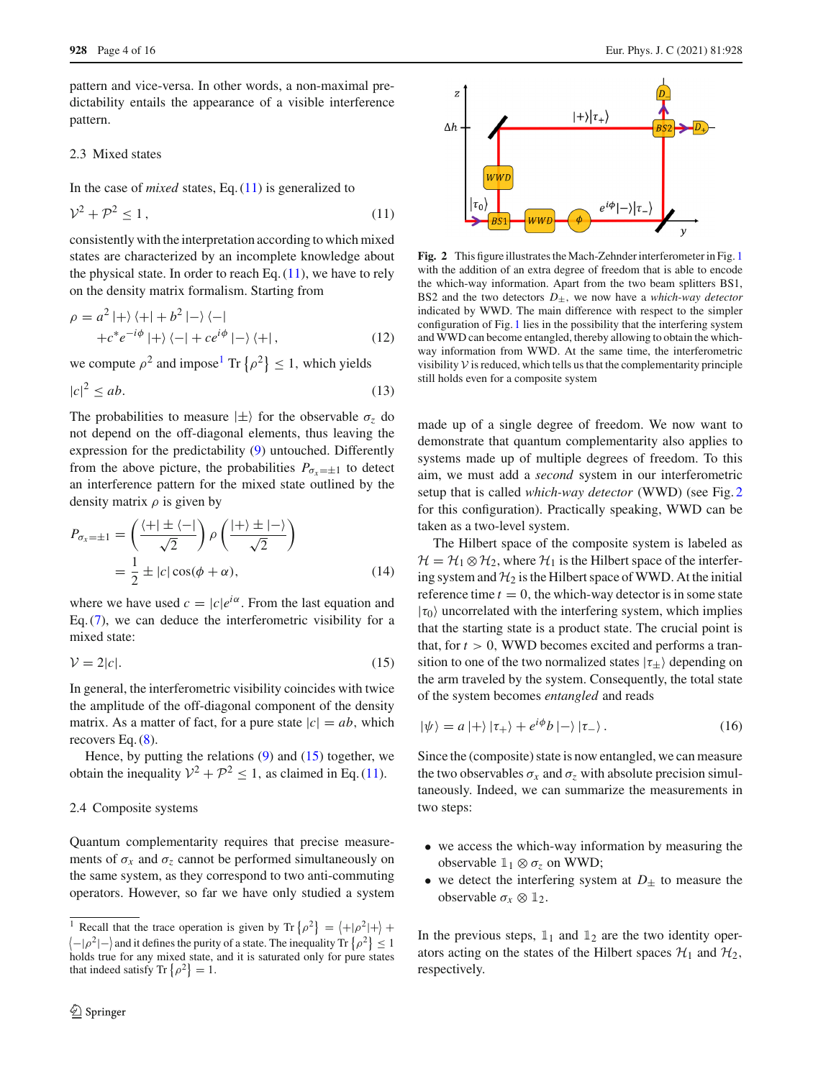pattern and vice-versa. In other words, a non-maximal predictability entails the appearance of a visible interference pattern.

## 2.3 Mixed states

In the case of *mixed* states, Eq. [\(11\)](#page-3-0) is generalized to

<span id="page-3-0"></span>
$$
\mathcal{V}^2 + \mathcal{P}^2 \le 1,\tag{11}
$$

consistently with the interpretation according to which mixed states are characterized by an incomplete knowledge about the physical state. In order to reach Eq.  $(11)$ , we have to rely on the density matrix formalism. Starting from

$$
\rho = a^2 \left| + \right\rangle \left\langle + \right| + b^2 \left| - \right\rangle \left\langle - \right|
$$
  
+  $c^* e^{-i\phi} \left| + \right\rangle \left\langle - \right| + ce^{i\phi} \left| - \right\rangle \left\langle + \right|,$  (12)

we compute  $\rho^2$  and impose<sup>1</sup> Tr  $\{\rho^2\} \le 1$ , which yields

$$
|c|^2 \le ab. \tag{13}
$$

The probabilities to measure  $|\pm\rangle$  for the observable  $\sigma_z$  do not depend on the off-diagonal elements, thus leaving the expression for the predictability [\(9\)](#page-2-3) untouched. Differently from the above picture, the probabilities  $P_{\sigma_x=\pm 1}$  to detect an interference pattern for the mixed state outlined by the density matrix  $\rho$  is given by

$$
P_{\sigma_x = \pm 1} = \left(\frac{\langle + | \pm \langle - |}{\sqrt{2}}\right) \rho \left(\frac{| + \rangle \pm | - \rangle}{\sqrt{2}}\right)
$$
  
=  $\frac{1}{2} \pm |c| \cos(\phi + \alpha),$  (14)

where we have used  $c = |c|e^{i\alpha}$ . From the last equation and Eq. [\(7\)](#page-2-4), we can deduce the interferometric visibility for a mixed state:

<span id="page-3-2"></span>
$$
\mathcal{V} = 2|\mathcal{c}|.\tag{15}
$$

In general, the interferometric visibility coincides with twice the amplitude of the off-diagonal component of the density matrix. As a matter of fact, for a pure state  $|c| = ab$ , which recovers Eq. [\(8\)](#page-2-5).

Hence, by putting the relations  $(9)$  and  $(15)$  together, we obtain the inequality  $V^2 + P^2 \le 1$ , as claimed in Eq. [\(11\)](#page-3-0).

#### <span id="page-3-5"></span>2.4 Composite systems

Quantum complementarity requires that precise measurements of  $\sigma_x$  and  $\sigma_z$  cannot be performed simultaneously on the same system, as they correspond to two anti-commuting operators. However, so far we have only studied a system



<span id="page-3-3"></span>**Fig. 2** This figure illustrates the Mach-Zehnder interferometer in Fig. [1](#page-2-1) with the addition of an extra degree of freedom that is able to encode the which-way information. Apart from the two beam splitters BS1, BS2 and the two detectors  $D_{\pm}$ , we now have a *which-way detector* indicated by WWD. The main difference with respect to the simpler configuration of Fig. [1](#page-2-1) lies in the possibility that the interfering system and WWD can become entangled, thereby allowing to obtain the whichway information from WWD. At the same time, the interferometric visibility  $V$  is reduced, which tells us that the complementarity principle still holds even for a composite system

made up of a single degree of freedom. We now want to demonstrate that quantum complementarity also applies to systems made up of multiple degrees of freedom. To this aim, we must add a *second* system in our interferometric setup that is called *which-way detector* (WWD) (see Fig. [2](#page-3-3) for this configuration). Practically speaking, WWD can be taken as a two-level system.

The Hilbert space of the composite system is labeled as  $\mathcal{H} = \mathcal{H}_1 \otimes \mathcal{H}_2$ , where  $\mathcal{H}_1$  is the Hilbert space of the interfering system and  $H_2$  is the Hilbert space of WWD. At the initial reference time  $t = 0$ , the which-way detector is in some state  $|\tau_0\rangle$  uncorrelated with the interfering system, which implies that the starting state is a product state. The crucial point is that, for  $t > 0$ , WWD becomes excited and performs a transition to one of the two normalized states  $|\tau_{\pm}\rangle$  depending on the arm traveled by the system. Consequently, the total state of the system becomes *entangled* and reads

<span id="page-3-4"></span>
$$
|\psi\rangle = a |+\rangle |\tau_{+}\rangle + e^{i\phi} b |-\rangle |\tau_{-}\rangle. \tag{16}
$$

Since the (composite) state is now entangled, we can measure the two observables  $\sigma_x$  and  $\sigma_z$  with absolute precision simultaneously. Indeed, we can summarize the measurements in two steps:

- we access the which-way information by measuring the observable  $1_1 \otimes \sigma_z$  on WWD;
- we detect the interfering system at  $D_{\pm}$  to measure the observable  $\sigma_x \otimes \mathbb{1}_2$ .

In the previous steps,  $1_1$  and  $1_2$  are the two identity operators acting on the states of the Hilbert spaces  $\mathcal{H}_1$  and  $\mathcal{H}_2$ , respectively.

<span id="page-3-1"></span><sup>&</sup>lt;sup>1</sup> Recall that the trace operation is given by Tr  $\{\rho^2\} = \langle +|\rho^2|+\rangle +$  $\left\langle -|\rho^2|-\right\rangle$  and it defines the purity of a state. The inequality Tr  $\left\{ \rho^2\right\} \leq 1$ holds true for any mixed state, and it is saturated only for pure states that indeed satisfy Tr  $\{\rho^2\} = 1$ .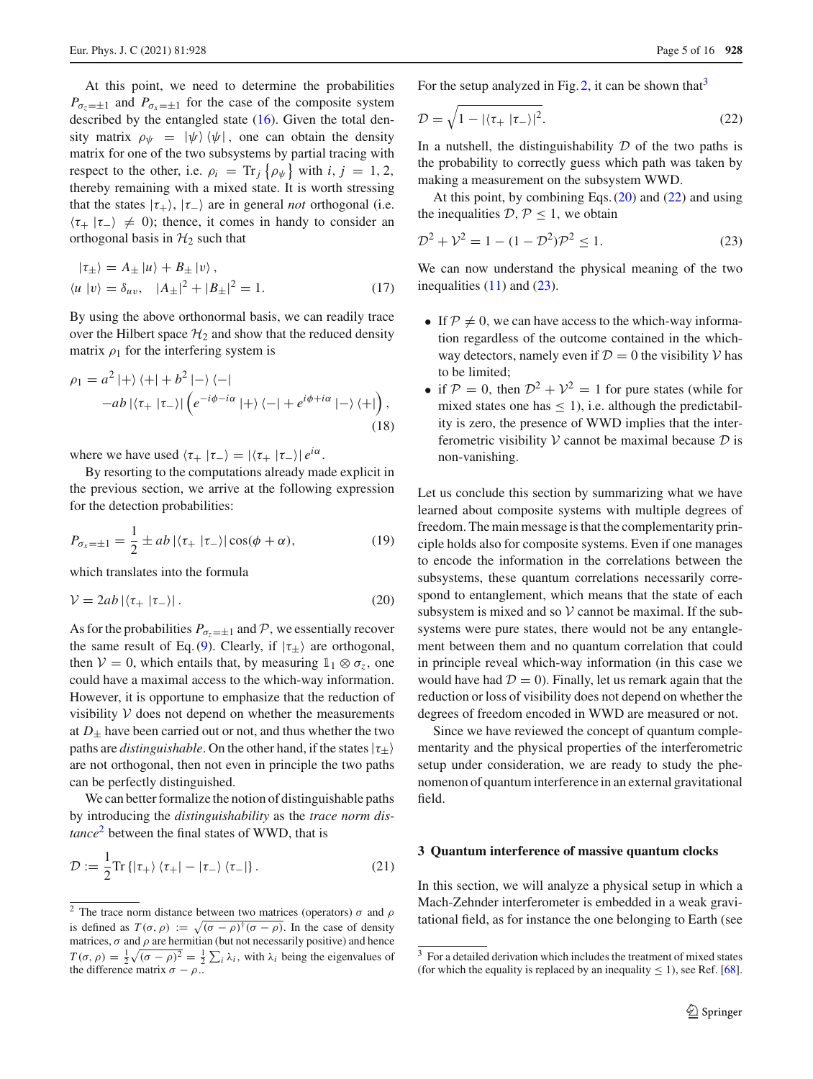At this point, we need to determine the probabilities  $P_{\sigma_z=\pm 1}$  and  $P_{\sigma_x=\pm 1}$  for the case of the composite system described by the entangled state [\(16\)](#page-3-4). Given the total density matrix  $\rho_{\psi} = |\psi\rangle \langle \psi|$ , one can obtain the density matrix for one of the two subsystems by partial tracing with respect to the other, i.e.  $\rho_i = \text{Tr}_j \{\rho_{\psi}\}\$  with  $i, j = 1, 2$ , thereby remaining with a mixed state. It is worth stressing that the states  $|\tau_{+}\rangle$ ,  $|\tau_{-}\rangle$  are in general *not* orthogonal (i.e.  $\langle \tau_+ | \tau_- \rangle \neq 0$ ; thence, it comes in handy to consider an orthogonal basis in  $H_2$  such that

$$
|\tau_{\pm}\rangle = A_{\pm} |\nu\rangle + B_{\pm} |\nu\rangle ,
$$
  
\n
$$
\langle u | v \rangle = \delta_{uv}, \quad |A_{\pm}|^2 + |B_{\pm}|^2 = 1.
$$
 (17)

By using the above orthonormal basis, we can readily trace over the Hilbert space  $H_2$  and show that the reduced density matrix  $\rho_1$  for the interfering system is

$$
\rho_1 = a^2 \left| + \right\rangle \left\langle + \right| + b^2 \left| - \right\rangle \left\langle - \right|
$$
  
-ab  $\left| \left\langle \tau_+ \right| \tau_- \right\rangle \left| \left( e^{-i\phi - i\alpha} \right| + \right\rangle \left\langle - \right| + e^{i\phi + i\alpha} \left| - \right\rangle \left\langle + \right| \right),$   
(18)

where we have used  $\langle \tau_+ | \tau_- \rangle = |\langle \tau_+ | \tau_- \rangle| e^{i\alpha}$ .

By resorting to the computations already made explicit in the previous section, we arrive at the following expression for the detection probabilities:

$$
P_{\sigma_x = \pm 1} = \frac{1}{2} \pm ab \left| \langle \tau_+ \left| \tau_- \right> \right| \cos(\phi + \alpha), \tag{19}
$$

which translates into the formula

<span id="page-4-3"></span>
$$
\mathcal{V} = 2ab \left| \left\langle \tau_+ \left| \tau_- \right\rangle \right| \right. \tag{20}
$$

As for the probabilities  $P_{\sigma_z=\pm 1}$  and P, we essentially recover the same result of Eq. [\(9\)](#page-2-3). Clearly, if  $|\tau_{\pm}\rangle$  are orthogonal, then *V* = 0, which entails that, by measuring  $\mathbb{1}_1 \otimes \sigma_z$ , one could have a maximal access to the which-way information. However, it is opportune to emphasize that the reduction of visibility  $V$  does not depend on whether the measurements at  $D_{+}$  have been carried out or not, and thus whether the two paths are *distinguishable*. On the other hand, if the states  $|\tau_{+}\rangle$ are not orthogonal, then not even in principle the two paths can be perfectly distinguished.

We can better formalize the notion of distinguishable paths by introducing the *distinguishability* as the *trace norm distance*[2](#page-4-1) between the final states of WWD, that is

$$
\mathcal{D} := \frac{1}{2} \text{Tr} \left\{ \left| \tau_{+} \right\rangle \left\langle \tau_{+} \right| - \left| \tau_{-} \right\rangle \left\langle \tau_{-} \right| \right\}. \tag{21}
$$

For the setup analyzed in Fig. [2,](#page-3-3) it can be shown that  $3$ 

<span id="page-4-4"></span>
$$
\mathcal{D} = \sqrt{1 - |\langle \tau_+ | \tau_- \rangle|^2}.
$$
 (22)

In a nutshell, the distinguishability  $D$  of the two paths is the probability to correctly guess which path was taken by making a measurement on the subsystem WWD.

At this point, by combining Eqs.  $(20)$  and  $(22)$  and using the inequalities  $D, P \leq 1$ , we obtain

<span id="page-4-5"></span>
$$
\mathcal{D}^2 + \mathcal{V}^2 = 1 - (1 - \mathcal{D}^2)\mathcal{P}^2 \le 1.
$$
 (23)

We can now understand the physical meaning of the two inequalities  $(11)$  and  $(23)$ .

- If  $P \neq 0$ , we can have access to the which-way information regardless of the outcome contained in the whichway detectors, namely even if  $D = 0$  the visibility  $V$  has to be limited;
- if  $P = 0$ , then  $D^2 + V^2 = 1$  for pure states (while for mixed states one has  $\leq$  1), i.e. although the predictability is zero, the presence of WWD implies that the interferometric visibility *V* cannot be maximal because *D* is non-vanishing.

Let us conclude this section by summarizing what we have learned about composite systems with multiple degrees of freedom. The main message is that the complementarity principle holds also for composite systems. Even if one manages to encode the information in the correlations between the subsystems, these quantum correlations necessarily correspond to entanglement, which means that the state of each subsystem is mixed and so  $V$  cannot be maximal. If the subsystems were pure states, there would not be any entanglement between them and no quantum correlation that could in principle reveal which-way information (in this case we would have had  $D = 0$ ). Finally, let us remark again that the reduction or loss of visibility does not depend on whether the degrees of freedom encoded in WWD are measured or not.

Since we have reviewed the concept of quantum complementarity and the physical properties of the interferometric setup under consideration, we are ready to study the phenomenon of quantum interference in an external gravitational field.

#### <span id="page-4-0"></span>**3 Quantum interference of massive quantum clocks**

In this section, we will analyze a physical setup in which a Mach-Zehnder interferometer is embedded in a weak gravitational field, as for instance the one belonging to Earth (see

<span id="page-4-1"></span><sup>&</sup>lt;sup>2</sup> The trace norm distance between two matrices (operators)  $\sigma$  and  $\rho$ is defined as  $T(\sigma, \rho) := \sqrt{(\sigma - \rho)^{\dagger} (\sigma - \rho)}$ . In the case of density matrices,  $\sigma$  and  $\rho$  are hermitian (but not necessarily positive) and hence  $T(\sigma, \rho) = \frac{1}{2}\sqrt{(\sigma - \rho)^2} = \frac{1}{2}\sum_i \lambda_i$ , with  $\lambda_i$  being the eigenvalues of the difference matrix  $\sigma - \rho$ ..

<span id="page-4-2"></span><sup>&</sup>lt;sup>3</sup> For a detailed derivation which includes the treatment of mixed states (for which the equality is replaced by an inequality  $\leq 1$ ), see Ref. [\[68](#page-15-5)].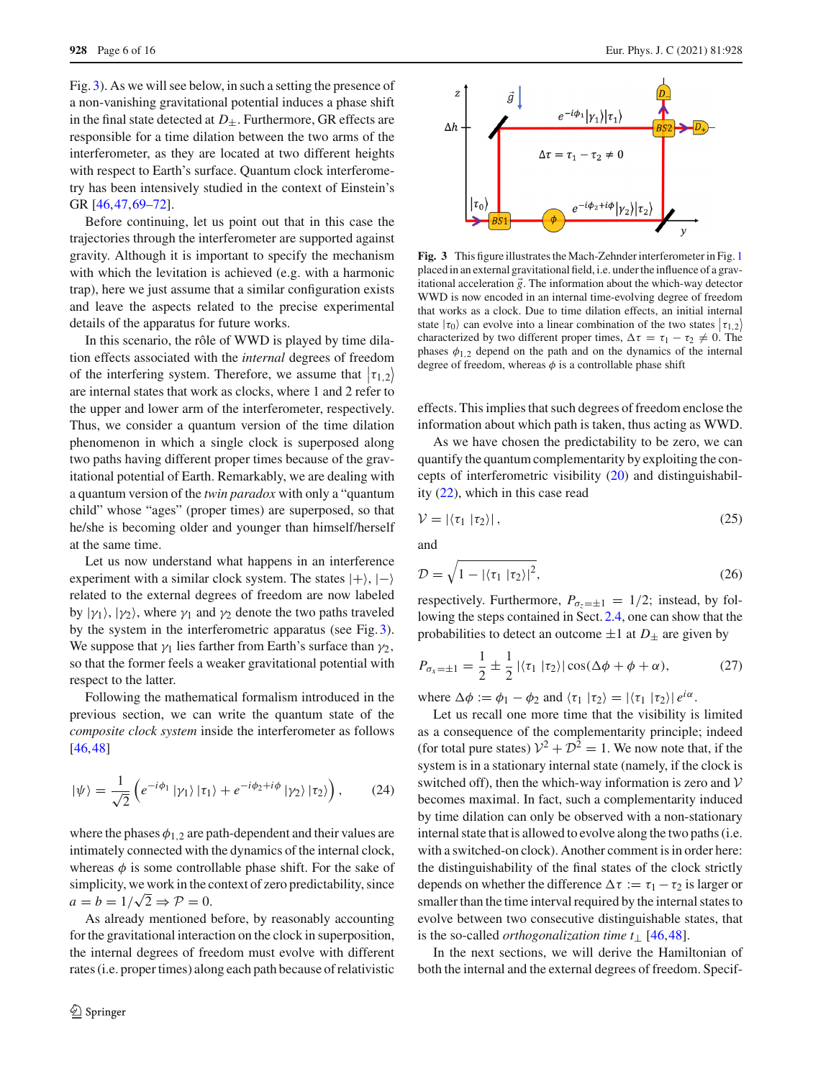Fig. [3\)](#page-5-0). As we will see below, in such a setting the presence of a non-vanishing gravitational potential induces a phase shift in the final state detected at  $D_{+}$ . Furthermore, GR effects are responsible for a time dilation between the two arms of the interferometer, as they are located at two different heights with respect to Earth's surface. Quantum clock interferometry has been intensively studied in the context of Einstein's GR [\[46,](#page-14-14)[47](#page-14-20)[,69](#page-15-6)[–72](#page-15-7)].

Before continuing, let us point out that in this case the trajectories through the interferometer are supported against gravity. Although it is important to specify the mechanism with which the levitation is achieved (e.g. with a harmonic trap), here we just assume that a similar configuration exists and leave the aspects related to the precise experimental details of the apparatus for future works.

In this scenario, the rôle of WWD is played by time dilation effects associated with the *internal* degrees of freedom of the interfering system. Therefore, we assume that  $|\tau_{1,2}\rangle$ are internal states that work as clocks, where 1 and 2 refer to the upper and lower arm of the interferometer, respectively. Thus, we consider a quantum version of the time dilation phenomenon in which a single clock is superposed along two paths having different proper times because of the gravitational potential of Earth. Remarkably, we are dealing with a quantum version of the *twin paradox* with only a "quantum child" whose "ages" (proper times) are superposed, so that he/she is becoming older and younger than himself/herself at the same time.

Let us now understand what happens in an interference experiment with a similar clock system. The states  $|+\rangle, |-\rangle$ related to the external degrees of freedom are now labeled by  $|\gamma_1\rangle$ ,  $|\gamma_2\rangle$ , where  $\gamma_1$  and  $\gamma_2$  denote the two paths traveled by the system in the interferometric apparatus (see Fig. [3\)](#page-5-0). We suppose that  $\gamma_1$  lies farther from Earth's surface than  $\gamma_2$ , so that the former feels a weaker gravitational potential with respect to the latter.

Following the mathematical formalism introduced in the previous section, we can write the quantum state of the *composite clock system* inside the interferometer as follows [\[46](#page-14-14),[48\]](#page-14-15)

$$
|\psi\rangle = \frac{1}{\sqrt{2}} \left( e^{-i\phi_1} |\gamma_1\rangle |\tau_1\rangle + e^{-i\phi_2 + i\phi} |\gamma_2\rangle |\tau_2\rangle \right), \tag{24}
$$

where the phases  $\phi_{1,2}$  are path-dependent and their values are intimately connected with the dynamics of the internal clock, whereas  $\phi$  is some controllable phase shift. For the sake of simplicity, we work in the context of zero predictability, since  $a = b = 1/\sqrt{2} \Rightarrow P = 0.$ 

As already mentioned before, by reasonably accounting for the gravitational interaction on the clock in superposition, the internal degrees of freedom must evolve with different rates (i.e. proper times) along each path because of relativistic



<span id="page-5-0"></span>**Fig. 3** This figure illustrates the Mach-Zehnder interferometer in Fig. [1](#page-2-1) placed in an external gravitational field, i.e. under the influence of a gravitational acceleration  $\vec{g}$ . The information about the which-way detector WWD is now encoded in an internal time-evolving degree of freedom that works as a clock. Due to time dilation effects, an initial internal state  $|\tau_0\rangle$  can evolve into a linear combination of the two states  $|\tau_{1,2}\rangle$ characterized by two different proper times,  $\Delta \tau = \tau_1 - \tau_2 \neq 0$ . The phases  $\phi_{1,2}$  depend on the path and on the dynamics of the internal degree of freedom, whereas  $\phi$  is a controllable phase shift

effects. This implies that such degrees of freedom enclose the information about which path is taken, thus acting as WWD.

As we have chosen the predictability to be zero, we can quantify the quantum complementarity by exploiting the concepts of interferometric visibility [\(20\)](#page-4-3) and distinguishability [\(22\)](#page-4-4), which in this case read

<span id="page-5-2"></span>
$$
\mathcal{V} = |\langle \tau_1 | \tau_2 \rangle|, \tag{25}
$$

and

<span id="page-5-3"></span>
$$
\mathcal{D} = \sqrt{1 - |\langle \tau_1 | \tau_2 \rangle|^2},\tag{26}
$$

respectively. Furthermore,  $P_{\sigma_z=\pm 1} = 1/2$ ; instead, by following the steps contained in Sect. [2.4,](#page-3-5) one can show that the probabilities to detect an outcome  $\pm 1$  at  $D_{\pm}$  are given by

<span id="page-5-1"></span>
$$
P_{\sigma_x = \pm 1} = \frac{1}{2} \pm \frac{1}{2} |\langle \tau_1 | \tau_2 \rangle| \cos(\Delta \phi + \phi + \alpha), \tag{27}
$$

where  $\Delta \phi := \phi_1 - \phi_2$  and  $\langle \tau_1 | \tau_2 \rangle = |\langle \tau_1 | \tau_2 \rangle| e^{i\alpha}$ .

Let us recall one more time that the visibility is limited as a consequence of the complementarity principle; indeed (for total pure states)  $V^2 + D^2 = 1$ . We now note that, if the system is in a stationary internal state (namely, if the clock is switched off), then the which-way information is zero and *V* becomes maximal. In fact, such a complementarity induced by time dilation can only be observed with a non-stationary internal state that is allowed to evolve along the two paths (i.e. with a switched-on clock). Another comment is in order here: the distinguishability of the final states of the clock strictly depends on whether the difference  $\Delta \tau := \tau_1 - \tau_2$  is larger or smaller than the time interval required by the internal states to evolve between two consecutive distinguishable states, that is the so-called *orthogonalization time t*<sup>⊥</sup> [\[46](#page-14-14)[,48](#page-14-15)].

In the next sections, we will derive the Hamiltonian of both the internal and the external degrees of freedom. Specif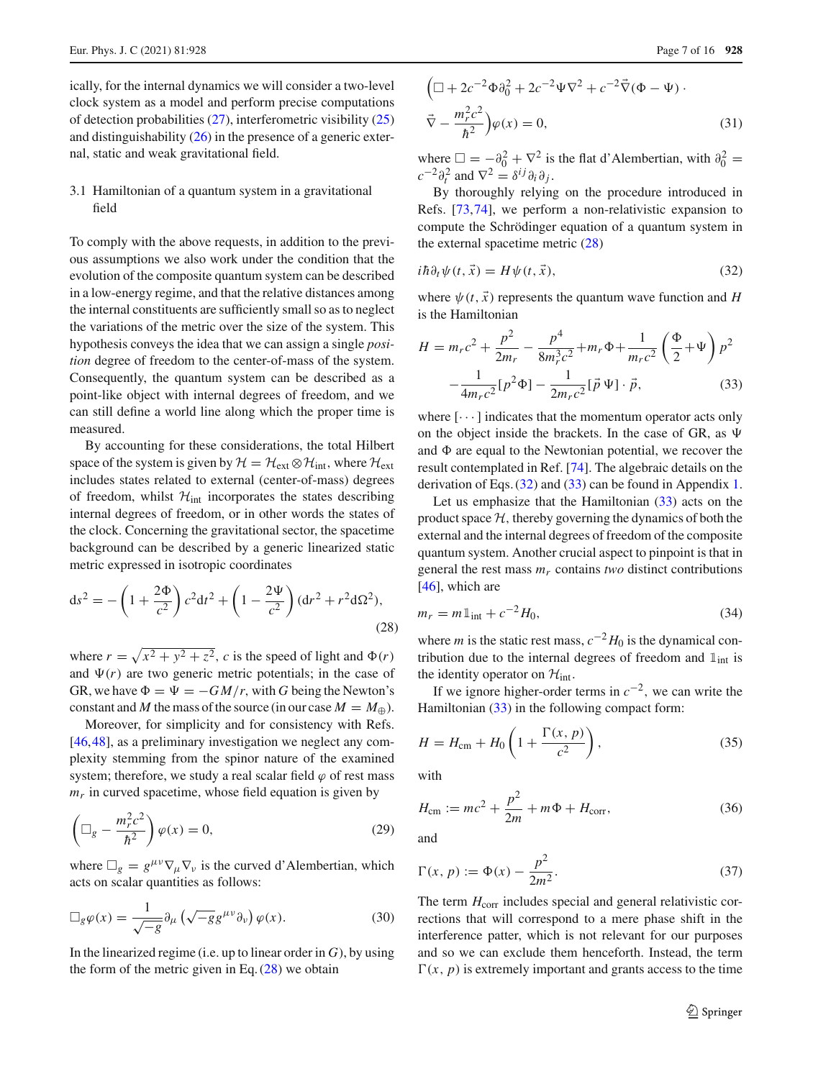ically, for the internal dynamics we will consider a two-level clock system as a model and perform precise computations of detection probabilities [\(27\)](#page-5-1), interferometric visibility [\(25\)](#page-5-2) and distinguishability  $(26)$  in the presence of a generic external, static and weak gravitational field.

# 3.1 Hamiltonian of a quantum system in a gravitational field

To comply with the above requests, in addition to the previous assumptions we also work under the condition that the evolution of the composite quantum system can be described in a low-energy regime, and that the relative distances among the internal constituents are sufficiently small so as to neglect the variations of the metric over the size of the system. This hypothesis conveys the idea that we can assign a single *position* degree of freedom to the center-of-mass of the system. Consequently, the quantum system can be described as a point-like object with internal degrees of freedom, and we can still define a world line along which the proper time is measured.

By accounting for these considerations, the total Hilbert space of the system is given by  $H = H_{ext} \otimes H_{int}$ , where  $H_{ext}$ includes states related to external (center-of-mass) degrees of freedom, whilst  $H<sub>int</sub>$  incorporates the states describing internal degrees of freedom, or in other words the states of the clock. Concerning the gravitational sector, the spacetime background can be described by a generic linearized static metric expressed in isotropic coordinates

<span id="page-6-0"></span>
$$
ds^{2} = -\left(1 + \frac{2\Phi}{c^{2}}\right)c^{2}dt^{2} + \left(1 - \frac{2\Psi}{c^{2}}\right)(dr^{2} + r^{2}d\Omega^{2}),
$$
\n(28)

where  $r = \sqrt{x^2 + y^2 + z^2}$ , *c* is the speed of light and  $\Phi(r)$ and  $\Psi(r)$  are two generic metric potentials; in the case of GR, we have  $\Phi = \Psi = -GM/r$ , with G being the Newton's constant and *M* the mass of the source (in our case  $M = M_{\oplus}$ ).

Moreover, for simplicity and for consistency with Refs. [\[46](#page-14-14),[48\]](#page-14-15), as a preliminary investigation we neglect any complexity stemming from the spinor nature of the examined system; therefore, we study a real scalar field  $\varphi$  of rest mass  $m<sub>r</sub>$  in curved spacetime, whose field equation is given by

<span id="page-6-5"></span>
$$
\left(\Box_g - \frac{m_r^2 c^2}{\hbar^2}\right)\varphi(x) = 0,\tag{29}
$$

where  $\Box_g = g^{\mu\nu}\nabla_\mu \nabla_\nu$  is the curved d'Alembertian, which acts on scalar quantities as follows:

<span id="page-6-4"></span>
$$
\Box_g \varphi(x) = \frac{1}{\sqrt{-g}} \partial_\mu \left( \sqrt{-g} g^{\mu \nu} \partial_\nu \right) \varphi(x). \tag{30}
$$

In the linearized regime (i.e. up to linear order in *G*), by using the form of the metric given in Eq.  $(28)$  we obtain

<span id="page-6-6"></span>
$$
\left(\Box + 2c^{-2}\Phi\partial_0^2 + 2c^{-2}\Psi\nabla^2 + c^{-2}\vec{\nabla}(\Phi - \Psi)\cdot\right.
$$
  

$$
\vec{\nabla} - \frac{m_r^2 c^2}{\hbar^2}\right)\varphi(x) = 0,
$$
 (31)

where  $\Box = -\partial_0^2 + \nabla^2$  is the flat d'Alembertian, with  $\partial_0^2 =$  $c^{-2}\partial_t^2$  and  $\nabla^2 = \delta^{ij}\partial_i\partial_j$ .

By thoroughly relying on the procedure introduced in Refs. [\[73](#page-15-8),[74\]](#page-15-9), we perform a non-relativistic expansion to compute the Schrödinger equation of a quantum system in the external spacetime metric [\(28\)](#page-6-0)

<span id="page-6-1"></span>
$$
i\hbar \partial_t \psi(t, \vec{x}) = H\psi(t, \vec{x}), \qquad (32)
$$

where  $\psi(t, \vec{x})$  represents the quantum wave function and *H* is the Hamiltonian

<span id="page-6-2"></span>
$$
H = m_r c^2 + \frac{p^2}{2m_r} - \frac{p^4}{8m_r^3 c^2} + m_r \Phi + \frac{1}{m_r c^2} \left(\frac{\Phi}{2} + \Psi\right) p^2
$$

$$
-\frac{1}{4m_r c^2} [p^2 \Phi] - \frac{1}{2m_r c^2} [\vec{p} \Psi] \cdot \vec{p}, \tag{33}
$$

where  $\lceil \cdots \rceil$  indicates that the momentum operator acts only on the object inside the brackets. In the case of GR, as  $\Psi$ and  $\Phi$  are equal to the Newtonian potential, we recover the result contemplated in Ref. [\[74](#page-15-9)]. The algebraic details on the derivation of Eqs. [\(32\)](#page-6-1) and [\(33\)](#page-6-2) can be found in Appendix [1.](#page-12-1)

Let us emphasize that the Hamiltonian  $(33)$  acts on the product space  $H$ , thereby governing the dynamics of both the external and the internal degrees of freedom of the composite quantum system. Another crucial aspect to pinpoint is that in general the rest mass  $m<sub>r</sub>$  contains *two* distinct contributions  $[46]$  $[46]$ , which are

$$
m_r = m \mathbb{1}_{\text{int}} + c^{-2} H_0,\tag{34}
$$

where *m* is the static rest mass,  $c^{-2}H_0$  is the dynamical contribution due to the internal degrees of freedom and  $\mathbb{1}_{int}$  is the identity operator on  $\mathcal{H}_{int}$ .

If we ignore higher-order terms in *c*−2, we can write the Hamiltonian [\(33\)](#page-6-2) in the following compact form:

<span id="page-6-3"></span>
$$
H = H_{\rm cm} + H_0 \left( 1 + \frac{\Gamma(x, p)}{c^2} \right),\tag{35}
$$

with

$$
H_{\rm cm} := mc^2 + \frac{p^2}{2m} + m\Phi + H_{\rm corr},
$$
 (36)

and

$$
\Gamma(x, p) := \Phi(x) - \frac{p^2}{2m^2}.
$$
 (37)

The term  $H_{\text{corr}}$  includes special and general relativistic corrections that will correspond to a mere phase shift in the interference patter, which is not relevant for our purposes and so we can exclude them henceforth. Instead, the term  $\Gamma(x, p)$  is extremely important and grants access to the time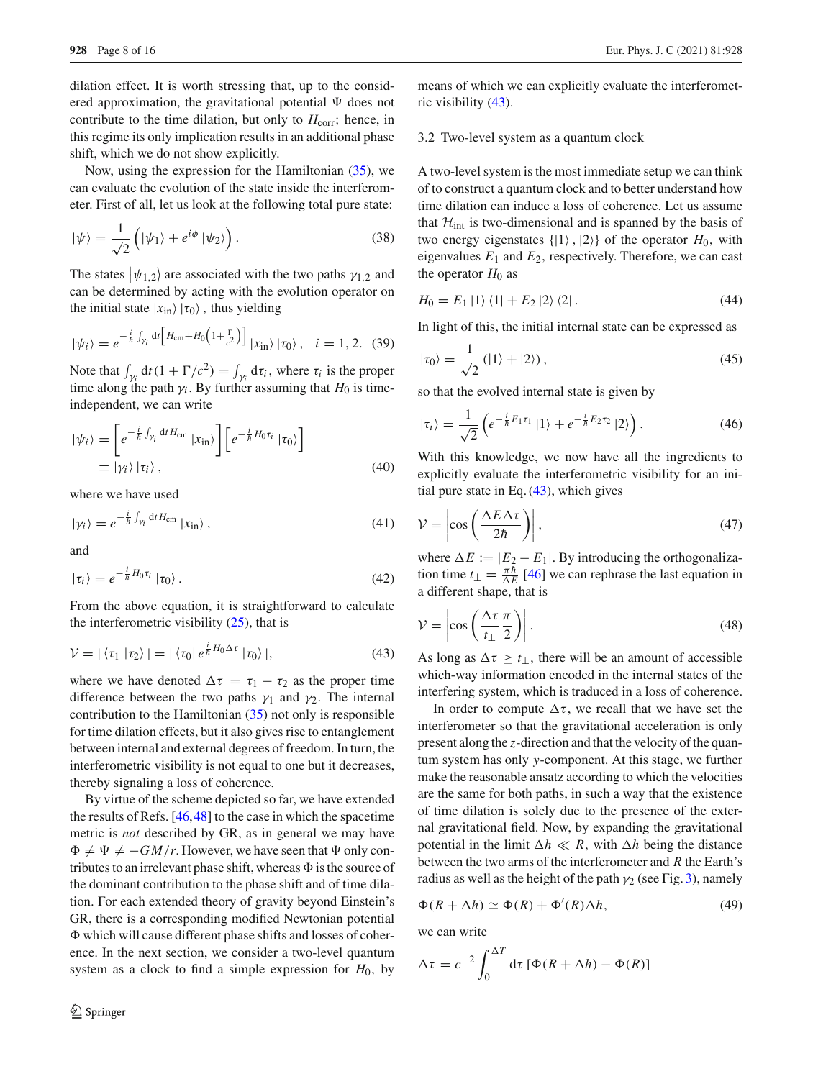dilation effect. It is worth stressing that, up to the considered approximation, the gravitational potential  $\Psi$  does not contribute to the time dilation, but only to  $H_{\text{corr}}$ ; hence, in this regime its only implication results in an additional phase shift, which we do not show explicitly.

Now, using the expression for the Hamiltonian [\(35\)](#page-6-3), we can evaluate the evolution of the state inside the interferometer. First of all, let us look at the following total pure state:

$$
|\psi\rangle = \frac{1}{\sqrt{2}} \left( |\psi_1\rangle + e^{i\phi} |\psi_2\rangle \right). \tag{38}
$$

The states  $|\psi_{1,2}\rangle$  are associated with the two paths  $\gamma_{1,2}$  and can be determined by acting with the evolution operator on the initial state  $|x_{in}\rangle |\tau_0\rangle$ , thus yielding

$$
|\psi_i\rangle = e^{-\frac{i}{\hbar}\int_{\gamma_i} dt \left[H_{\rm cm} + H_0 \left(1 + \frac{\Gamma}{c^2}\right)\right]} |x_{\rm in}\rangle |\tau_0\rangle, \quad i = 1, 2. \tag{39}
$$

Note that  $\int_{\gamma_i} dt (1 + \Gamma/c^2) = \int_{\gamma_i} d\tau_i$ , where  $\tau_i$  is the proper time along the path  $\gamma_i$ . By further assuming that  $H_0$  is timeindependent, we can write

$$
|\psi_i\rangle = \left[e^{-\frac{i}{\hbar}\int_{\gamma_i} dt H_{\rm cm}} |x_{\rm in}\rangle\right] \left[e^{-\frac{i}{\hbar}H_0\tau_i} |\tau_0\rangle\right]
$$
  

$$
\equiv |\gamma_i\rangle |\tau_i\rangle , \qquad (40)
$$

where we have used

$$
|\gamma_i\rangle = e^{-\frac{i}{\hbar}\int_{\gamma_i} dt H_{\rm cm}} |x_{\rm in}\rangle , \qquad (41)
$$

and

$$
|\tau_i\rangle = e^{-\frac{i}{\hbar}H_0\tau_i}|\tau_0\rangle.
$$
 (42)

From the above equation, it is straightforward to calculate the interferometric visibility  $(25)$ , that is

<span id="page-7-0"></span>
$$
\mathcal{V} = |\langle \tau_1 | \tau_2 \rangle| = |\langle \tau_0 | e^{\frac{i}{\hbar} H_0 \Delta \tau} | \tau_0 \rangle|,
$$
 (43)

where we have denoted  $\Delta \tau = \tau_1 - \tau_2$  as the proper time difference between the two paths  $\gamma_1$  and  $\gamma_2$ . The internal contribution to the Hamiltonian  $(35)$  not only is responsible for time dilation effects, but it also gives rise to entanglement between internal and external degrees of freedom. In turn, the interferometric visibility is not equal to one but it decreases, thereby signaling a loss of coherence.

By virtue of the scheme depicted so far, we have extended the results of Refs. [\[46](#page-14-14)[,48](#page-14-15)] to the case in which the spacetime metric is *not* described by GR, as in general we may have  $\Phi \neq \Psi \neq -GM/r$ . However, we have seen that  $\Psi$  only contributes to an irrelevant phase shift, whereas  $\Phi$  is the source of the dominant contribution to the phase shift and of time dilation. For each extended theory of gravity beyond Einstein's GR, there is a corresponding modified Newtonian potential which will cause different phase shifts and losses of coherence. In the next section, we consider a two-level quantum system as a clock to find a simple expression for  $H_0$ , by means of which we can explicitly evaluate the interferometric visibility [\(43\)](#page-7-0).

#### 3.2 Two-level system as a quantum clock

A two-level system is the most immediate setup we can think of to construct a quantum clock and to better understand how time dilation can induce a loss of coherence. Let us assume that  $H_{int}$  is two-dimensional and is spanned by the basis of two energy eigenstates  $\{ |1\rangle, |2\rangle \}$  of the operator  $H_0$ , with eigenvalues  $E_1$  and  $E_2$ , respectively. Therefore, we can cast the operator  $H_0$  as

$$
H_0 = E_1 |1\rangle \langle 1| + E_2 |2\rangle \langle 2|.
$$
 (44)

In light of this, the initial internal state can be expressed as

$$
|\tau_0\rangle = \frac{1}{\sqrt{2}} (|1\rangle + |2\rangle), \qquad (45)
$$

so that the evolved internal state is given by

$$
|\tau_i\rangle = \frac{1}{\sqrt{2}} \left( e^{-\frac{i}{\hbar} E_1 \tau_1} |1\rangle + e^{-\frac{i}{\hbar} E_2 \tau_2} |2\rangle \right). \tag{46}
$$

With this knowledge, we now have all the ingredients to explicitly evaluate the interferometric visibility for an initial pure state in Eq.  $(43)$ , which gives

$$
\mathcal{V} = \left| \cos \left( \frac{\Delta E \Delta \tau}{2\hbar} \right) \right|,\tag{47}
$$

where  $\Delta E := |E_2 - E_1|$ . By introducing the orthogonalization time  $t_{\perp} = \frac{\pi \bar{h}}{\Delta E}$  [\[46\]](#page-14-14) we can rephrase the last equation in a different shape, that is

$$
\mathcal{V} = \left| \cos \left( \frac{\Delta \tau}{t_{\perp}} \frac{\pi}{2} \right) \right|.
$$
 (48)

As long as  $\Delta \tau \geq t_{\perp}$ , there will be an amount of accessible which-way information encoded in the internal states of the interfering system, which is traduced in a loss of coherence.

In order to compute  $\Delta \tau$ , we recall that we have set the interferometer so that the gravitational acceleration is only present along the *z*-direction and that the velocity of the quantum system has only *y*-component. At this stage, we further make the reasonable ansatz according to which the velocities are the same for both paths, in such a way that the existence of time dilation is solely due to the presence of the external gravitational field. Now, by expanding the gravitational potential in the limit  $\Delta h \ll R$ , with  $\Delta h$  being the distance between the two arms of the interferometer and *R* the Earth's radius as well as the height of the path  $\gamma_2$  (see Fig. [3\)](#page-5-0), namely

$$
\Phi(R + \Delta h) \simeq \Phi(R) + \Phi'(R)\Delta h, \tag{49}
$$

we can write

$$
\Delta \tau = c^{-2} \int_0^{\Delta T} d\tau \left[ \Phi(R + \Delta h) - \Phi(R) \right]
$$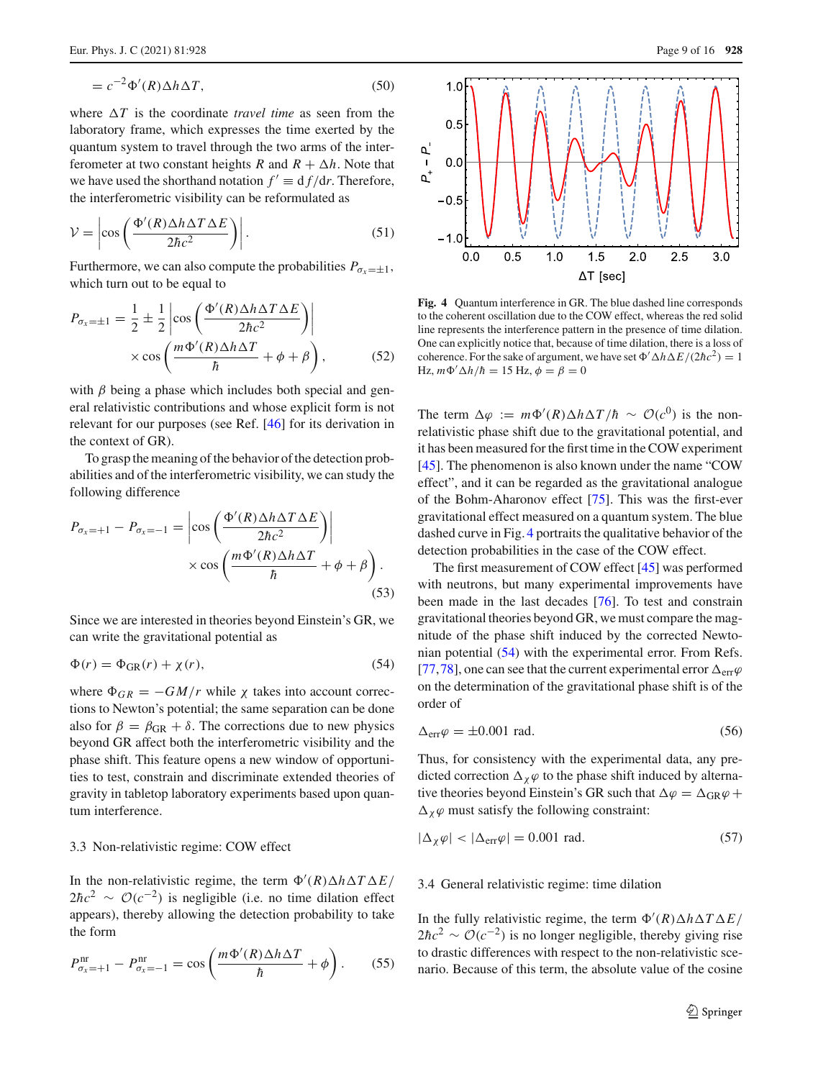$$
= c^{-2} \Phi'(R) \Delta h \Delta T, \tag{50}
$$

where  $\Delta T$  is the coordinate *travel time* as seen from the laboratory frame, which expresses the time exerted by the quantum system to travel through the two arms of the interferometer at two constant heights *R* and  $R + \Delta h$ . Note that we have used the shorthand notation  $f' \equiv d f/dr$ . Therefore, the interferometric visibility can be reformulated as

$$
\mathcal{V} = \left| \cos \left( \frac{\Phi'(R) \Delta h \Delta T \Delta E}{2 \hbar c^2} \right) \right|.
$$
 (51)

Furthermore, we can also compute the probabilities  $P_{\sigma_x=\pm 1}$ , which turn out to be equal to

$$
P_{\sigma_x = \pm 1} = \frac{1}{2} \pm \frac{1}{2} \left| \cos \left( \frac{\Phi'(R) \Delta h \Delta T \Delta E}{2 \hbar c^2} \right) \right|
$$
  
 
$$
\times \cos \left( \frac{m \Phi'(R) \Delta h \Delta T}{\hbar} + \phi + \beta \right), \tag{52}
$$

with  $\beta$  being a phase which includes both special and general relativistic contributions and whose explicit form is not relevant for our purposes (see Ref. [\[46\]](#page-14-14) for its derivation in the context of GR).

To grasp the meaning of the behavior of the detection probabilities and of the interferometric visibility, we can study the following difference

<span id="page-8-2"></span>
$$
P_{\sigma_x=+1} - P_{\sigma_x=-1} = \left| \cos \left( \frac{\Phi'(R) \Delta h \Delta T \Delta E}{2 \hbar c^2} \right) \right|
$$
  
 
$$
\times \cos \left( \frac{m \Phi'(R) \Delta h \Delta T}{\hbar} + \phi + \beta \right).
$$
(53)

Since we are interested in theories beyond Einstein's GR, we can write the gravitational potential as

<span id="page-8-1"></span>
$$
\Phi(r) = \Phi_{GR}(r) + \chi(r),\tag{54}
$$

where  $\Phi_{GR} = -GM/r$  while  $\chi$  takes into account corrections to Newton's potential; the same separation can be done also for  $\beta = \beta_{\text{GR}} + \delta$ . The corrections due to new physics beyond GR affect both the interferometric visibility and the phase shift. This feature opens a new window of opportunities to test, constrain and discriminate extended theories of gravity in tabletop laboratory experiments based upon quantum interference.

#### 3.3 Non-relativistic regime: COW effect

In the non-relativistic regime, the term  $\Phi'(R) \Delta h \Delta T \Delta E$  $2\hbar c^2 \sim \mathcal{O}(c^{-2})$  is negligible (i.e. no time dilation effect appears), thereby allowing the detection probability to take the form

$$
P_{\sigma_x=+1}^{\rm nr} - P_{\sigma_x=-1}^{\rm nr} = \cos\left(\frac{m\Phi'(R)\Delta h\Delta T}{\hbar} + \phi\right). \tag{55}
$$



<span id="page-8-0"></span>**Fig. 4** Quantum interference in GR. The blue dashed line corresponds to the coherent oscillation due to the COW effect, whereas the red solid line represents the interference pattern in the presence of time dilation. One can explicitly notice that, because of time dilation, there is a loss of coherence. For the sake of argument, we have set  $\Phi' \Delta h \Delta E / (2\hbar c^2) = 1$ Hz,  $m\Phi' \Delta h/\hbar = 15$  Hz,  $\phi = \beta = 0$ 

The term  $\Delta \varphi := m\Phi'(R)\Delta h \Delta T/h \sim \mathcal{O}(c^0)$  is the nonrelativistic phase shift due to the gravitational potential, and it has been measured for the first time in the COW experiment [\[45](#page-14-13)]. The phenomenon is also known under the name "COW effect", and it can be regarded as the gravitational analogue of the Bohm-Aharonov effect [\[75\]](#page-15-10). This was the first-ever gravitational effect measured on a quantum system. The blue dashed curve in Fig. [4](#page-8-0) portraits the qualitative behavior of the detection probabilities in the case of the COW effect.

The first measurement of COW effect [\[45](#page-14-13)] was performed with neutrons, but many experimental improvements have been made in the last decades [\[76](#page-15-11)]. To test and constrain gravitational theories beyond GR, we must compare the magnitude of the phase shift induced by the corrected Newtonian potential [\(54\)](#page-8-1) with the experimental error. From Refs. [\[77](#page-15-12),[78\]](#page-15-13), one can see that the current experimental error  $\Delta_{err}\varphi$ on the determination of the gravitational phase shift is of the order of

$$
\Delta_{\rm err}\varphi = \pm 0.001 \text{ rad.}
$$
\n(56)

Thus, for consistency with the experimental data, any predicted correction  $\Delta_{\chi}\varphi$  to the phase shift induced by alternative theories beyond Einstein's GR such that  $\Delta \varphi = \Delta_{GR} \varphi +$  $\Delta_{\chi}\varphi$  must satisfy the following constraint:

<span id="page-8-3"></span>
$$
|\Delta_{\chi}\varphi| < |\Delta_{\text{err}}\varphi| = 0.001 \text{ rad.}
$$
 (57)

## 3.4 General relativistic regime: time dilation

In the fully relativistic regime, the term  $\Phi'(R) \Delta h \Delta T \Delta E$  $2\hbar c^2 \sim \mathcal{O}(c^{-2})$  is no longer negligible, thereby giving rise to drastic differences with respect to the non-relativistic scenario. Because of this term, the absolute value of the cosine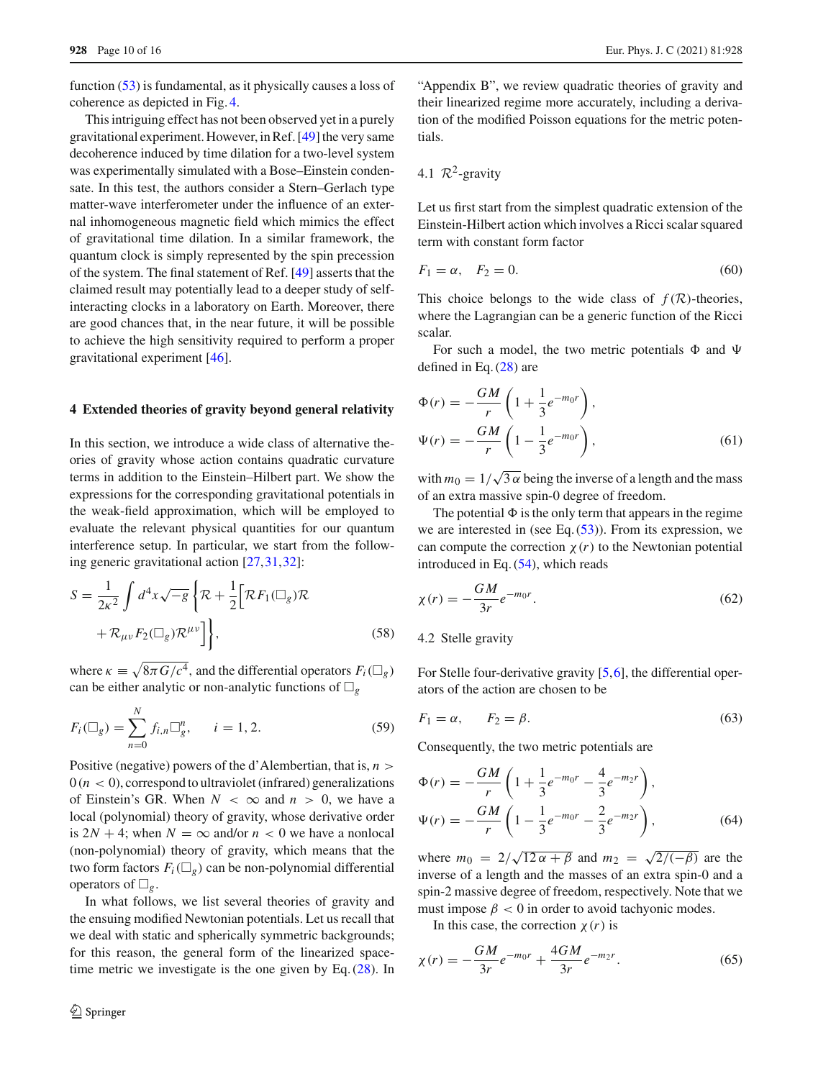function [\(53\)](#page-8-2) is fundamental, as it physically causes a loss of coherence as depicted in Fig. [4.](#page-8-0)

This intriguing effect has not been observed yet in a purely gravitational experiment. However, in Ref. [\[49](#page-14-16)] the very same decoherence induced by time dilation for a two-level system was experimentally simulated with a Bose–Einstein condensate. In this test, the authors consider a Stern–Gerlach type matter-wave interferometer under the influence of an external inhomogeneous magnetic field which mimics the effect of gravitational time dilation. In a similar framework, the quantum clock is simply represented by the spin precession of the system. The final statement of Ref. [\[49\]](#page-14-16) asserts that the claimed result may potentially lead to a deeper study of selfinteracting clocks in a laboratory on Earth. Moreover, there are good chances that, in the near future, it will be possible to achieve the high sensitivity required to perform a proper gravitational experiment [\[46](#page-14-14)].

#### <span id="page-9-0"></span>**4 Extended theories of gravity beyond general relativity**

In this section, we introduce a wide class of alternative theories of gravity whose action contains quadratic curvature terms in addition to the Einstein–Hilbert part. We show the expressions for the corresponding gravitational potentials in the weak-field approximation, which will be employed to evaluate the relevant physical quantities for our quantum interference setup. In particular, we start from the following generic gravitational action [\[27](#page-14-21)[,31](#page-14-22)[,32](#page-14-23)]:

<span id="page-9-2"></span>
$$
S = \frac{1}{2\kappa^2} \int d^4x \sqrt{-g} \left\{ \mathcal{R} + \frac{1}{2} \left[ \mathcal{R} F_1(\Box_g) \mathcal{R} + \mathcal{R}_{\mu\nu} F_2(\Box_g) \mathcal{R}^{\mu\nu} \right] \right\},
$$
\n(58)

where  $\kappa \equiv \sqrt{8\pi G/c^4}$ , and the differential operators  $F_i(\Box_g)$ can be either analytic or non-analytic functions of  $\square_g$ 

$$
F_i(\Box_g) = \sum_{n=0}^{N} f_{i,n} \Box_g^n, \qquad i = 1, 2. \tag{59}
$$

Positive (negative) powers of the d'Alembertian, that is, *n* >  $0(n < 0)$ , correspond to ultraviolet (infrared) generalizations of Einstein's GR. When  $N < \infty$  and  $n > 0$ , we have a local (polynomial) theory of gravity, whose derivative order is  $2N + 4$ ; when  $N = \infty$  and/or  $n < 0$  we have a nonlocal (non-polynomial) theory of gravity, which means that the two form factors  $F_i(\Box_g)$  can be non-polynomial differential operators of  $\Box_g$ .

In what follows, we list several theories of gravity and the ensuing modified Newtonian potentials. Let us recall that we deal with static and spherically symmetric backgrounds; for this reason, the general form of the linearized spacetime metric we investigate is the one given by Eq.  $(28)$ . In

"Appendix B", we review quadratic theories of gravity and their linearized regime more accurately, including a derivation of the modified Poisson equations for the metric potentials.

# 4.1  $\mathcal{R}^2$ -gravity

Let us first start from the simplest quadratic extension of the Einstein-Hilbert action which involves a Ricci scalar squared term with constant form factor

$$
F_1 = \alpha, \quad F_2 = 0. \tag{60}
$$

This choice belongs to the wide class of  $f(\mathcal{R})$ -theories, where the Lagrangian can be a generic function of the Ricci scalar.

For such a model, the two metric potentials  $\Phi$  and  $\Psi$ defined in Eq. [\(28\)](#page-6-0) are

<span id="page-9-1"></span>
$$
\Phi(r) = -\frac{GM}{r} \left( 1 + \frac{1}{3} e^{-m_0 r} \right),
$$
  
\n
$$
\Psi(r) = -\frac{GM}{r} \left( 1 - \frac{1}{3} e^{-m_0 r} \right),
$$
\n(61)

with  $m_0 = 1/\sqrt{3\alpha}$  being the inverse of a length and the mass of an extra massive spin-0 degree of freedom.

The potential  $\Phi$  is the only term that appears in the regime we are interested in (see Eq.  $(53)$ ). From its expression, we can compute the correction  $\chi(r)$  to the Newtonian potential introduced in Eq. [\(54\)](#page-8-1), which reads

$$
\chi(r) = -\frac{GM}{3r}e^{-m_0r}.\tag{62}
$$

#### 4.2 Stelle gravity

For Stelle four-derivative gravity [\[5](#page-14-4),[6\]](#page-14-5), the differential operators of the action are chosen to be

$$
F_1 = \alpha, \qquad F_2 = \beta. \tag{63}
$$

Consequently, the two metric potentials are

$$
\Phi(r) = -\frac{GM}{r} \left( 1 + \frac{1}{3} e^{-m_0 r} - \frac{4}{3} e^{-m_2 r} \right),
$$
  
\n
$$
\Psi(r) = -\frac{GM}{r} \left( 1 - \frac{1}{3} e^{-m_0 r} - \frac{2}{3} e^{-m_2 r} \right),
$$
\n(64)

where  $m_0 = 2/\sqrt{12 \alpha + \beta}$  and  $m_2 = \sqrt{2/(-\beta)}$  are the inverse of a length and the masses of an extra spin-0 and a spin-2 massive degree of freedom, respectively. Note that we must impose  $\beta$  < 0 in order to avoid tachyonic modes.

In this case, the correction  $\chi(r)$  is

$$
\chi(r) = -\frac{GM}{3r}e^{-m_0r} + \frac{4GM}{3r}e^{-m_2r}.\tag{65}
$$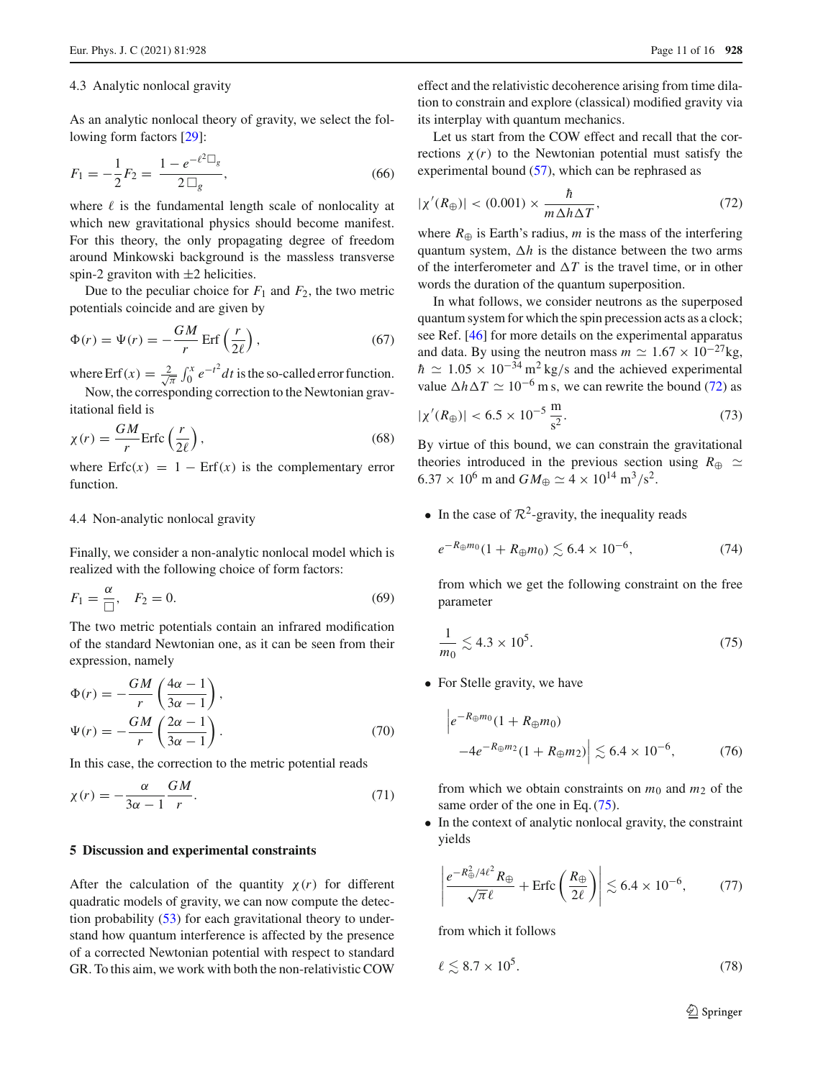#### 4.3 Analytic nonlocal gravity

As an analytic nonlocal theory of gravity, we select the following form factors [\[29\]](#page-14-24):

$$
F_1 = -\frac{1}{2}F_2 = \frac{1 - e^{-\ell^2 \Box_g}}{2 \Box_g},\tag{66}
$$

where  $\ell$  is the fundamental length scale of nonlocality at which new gravitational physics should become manifest. For this theory, the only propagating degree of freedom around Minkowski background is the massless transverse spin-2 graviton with  $\pm$ 2 helicities.

Due to the peculiar choice for  $F_1$  and  $F_2$ , the two metric potentials coincide and are given by

<span id="page-10-4"></span>
$$
\Phi(r) = \Psi(r) = -\frac{GM}{r} \operatorname{Erf}\left(\frac{r}{2\ell}\right),\tag{67}
$$

where Erf $(x) = \frac{2}{\sqrt{x}}$  $\frac{d}{dx} \int_0^x e^{-t^2} dt$  is the so-called error function. Now, the corresponding correction to the Newtonian gravitational field is

$$
\chi(r) = \frac{GM}{r} \text{Erfc}\left(\frac{r}{2\ell}\right),\tag{68}
$$

where  $Erfc(x) = 1 - Erf(x)$  is the complementary error function.

#### 4.4 Non-analytic nonlocal gravity

Finally, we consider a non-analytic nonlocal model which is realized with the following choice of form factors:

$$
F_1 = \frac{\alpha}{\Box}, \quad F_2 = 0. \tag{69}
$$

The two metric potentials contain an infrared modification of the standard Newtonian one, as it can be seen from their expression, namely

$$
\Phi(r) = -\frac{GM}{r} \left( \frac{4\alpha - 1}{3\alpha - 1} \right),
$$
  

$$
\Psi(r) = -\frac{GM}{r} \left( \frac{2\alpha - 1}{3\alpha - 1} \right).
$$
 (70)

In this case, the correction to the metric potential reads

$$
\chi(r) = -\frac{\alpha}{3\alpha - 1} \frac{GM}{r}.
$$
\n(71)

#### <span id="page-10-0"></span>**5 Discussion and experimental constraints**

After the calculation of the quantity  $\chi(r)$  for different quadratic models of gravity, we can now compute the detection probability [\(53\)](#page-8-2) for each gravitational theory to understand how quantum interference is affected by the presence of a corrected Newtonian potential with respect to standard GR. To this aim, we work with both the non-relativistic COW effect and the relativistic decoherence arising from time dilation to constrain and explore (classical) modified gravity via its interplay with quantum mechanics.

Let us start from the COW effect and recall that the corrections  $\chi(r)$  to the Newtonian potential must satisfy the experimental bound  $(57)$ , which can be rephrased as

<span id="page-10-1"></span>
$$
|\chi'(R_{\oplus})| < (0.001) \times \frac{\hbar}{m \Delta h \Delta T},\tag{72}
$$

where  $R_{\oplus}$  is Earth's radius, *m* is the mass of the interfering quantum system,  $\Delta h$  is the distance between the two arms of the interferometer and  $\Delta T$  is the travel time, or in other words the duration of the quantum superposition.

In what follows, we consider neutrons as the superposed quantum system for which the spin precession acts as a clock; see Ref. [\[46\]](#page-14-14) for more details on the experimental apparatus and data. By using the neutron mass  $m \simeq 1.67 \times 10^{-27}$  kg,  $h \simeq 1.05 \times 10^{-34} \,\mathrm{m^2 \, kg/s}$  and the achieved experimental value  $\Delta h \Delta T \simeq 10^{-6}$  m s, we can rewrite the bound [\(72\)](#page-10-1) as

$$
|\chi'(R_{\oplus})| < 6.5 \times 10^{-5} \frac{\mathrm{m}}{\mathrm{s}^2}.\tag{73}
$$

By virtue of this bound, we can constrain the gravitational theories introduced in the previous section using  $R_{\oplus} \simeq$  $6.37 \times 10^6$  m and  $GM_{\oplus} \simeq 4 \times 10^{14}$  m<sup>3</sup>/s<sup>2</sup>.

• In the case of  $\mathcal{R}^2$ -gravity, the inequality reads

$$
e^{-R_{\oplus}m_0}(1+R_{\oplus}m_0) \lesssim 6.4 \times 10^{-6},\tag{74}
$$

from which we get the following constraint on the free parameter

<span id="page-10-2"></span>
$$
\frac{1}{m_0} \lesssim 4.3 \times 10^5. \tag{75}
$$

• For Stelle gravity, we have

$$
\left| e^{-R_{\oplus}m_0}(1 + R_{\oplus}m_0) \right|
$$
  
-4e^{-R\_{\oplus}m\_2}(1 + R\_{\oplus}m\_2) \left| \leq 6.4 \times 10^{-6}, \right| (76)

from which we obtain constraints on *m*<sup>0</sup> and *m*<sup>2</sup> of the same order of the one in Eq. [\(75\)](#page-10-2).

• In the context of analytic nonlocal gravity, the constraint yields

$$
\left| \frac{e^{-R_{\oplus}^2/4\ell^2} R_{\oplus}}{\sqrt{\pi} \ell} + \text{Erfc} \left( \frac{R_{\oplus}}{2\ell} \right) \right| \lesssim 6.4 \times 10^{-6},\tag{77}
$$

from which it follows

<span id="page-10-3"></span>
$$
\ell \lesssim 8.7 \times 10^5. \tag{78}
$$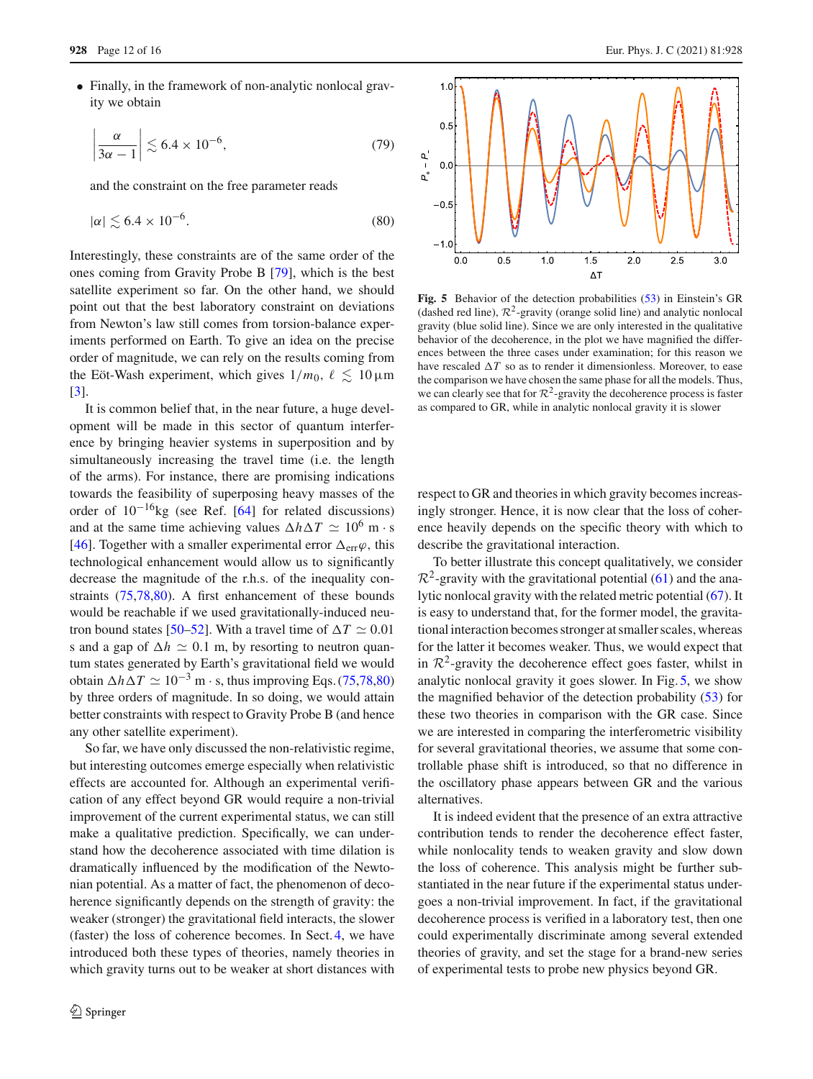• Finally, in the framework of non-analytic nonlocal gravity we obtain

$$
\left|\frac{\alpha}{3\alpha - 1}\right| \lesssim 6.4 \times 10^{-6},\tag{79}
$$

and the constraint on the free parameter reads

<span id="page-11-0"></span>
$$
|\alpha| \lesssim 6.4 \times 10^{-6}.\tag{80}
$$

Interestingly, these constraints are of the same order of the ones coming from Gravity Probe B [\[79](#page-15-14)], which is the best satellite experiment so far. On the other hand, we should point out that the best laboratory constraint on deviations from Newton's law still comes from torsion-balance experiments performed on Earth. To give an idea on the precise order of magnitude, we can rely on the results coming from the Eöt-Wash experiment, which gives  $1/m_0$ ,  $\ell \lesssim 10 \,\mu\text{m}$ [\[3](#page-14-2)].

It is common belief that, in the near future, a huge development will be made in this sector of quantum interference by bringing heavier systems in superposition and by simultaneously increasing the travel time (i.e. the length of the arms). For instance, there are promising indications towards the feasibility of superposing heavy masses of the order of  $10^{-16}$ kg (see Ref. [\[64](#page-15-3)] for related discussions) and at the same time achieving values  $\Delta h \Delta T \simeq 10^6$  m · s [\[46](#page-14-14)]. Together with a smaller experimental error  $\Delta_{err}\varphi$ , this technological enhancement would allow us to significantly decrease the magnitude of the r.h.s. of the inequality constraints [\(75,](#page-10-2)[78,](#page-10-3)[80\)](#page-11-0). A first enhancement of these bounds would be reachable if we used gravitationally-induced neu-tron bound states [\[50](#page-14-17)[–52\]](#page-14-25). With a travel time of  $\Delta T \simeq 0.01$ s and a gap of  $\Delta h \simeq 0.1$  m, by resorting to neutron quantum states generated by Earth's gravitational field we would obtain  $\Delta h \Delta T \simeq 10^{-3}$  m · s, thus improving Eqs. [\(75](#page-10-2)[,78](#page-10-3)[,80\)](#page-11-0) by three orders of magnitude. In so doing, we would attain better constraints with respect to Gravity Probe B (and hence any other satellite experiment).

So far, we have only discussed the non-relativistic regime, but interesting outcomes emerge especially when relativistic effects are accounted for. Although an experimental verification of any effect beyond GR would require a non-trivial improvement of the current experimental status, we can still make a qualitative prediction. Specifically, we can understand how the decoherence associated with time dilation is dramatically influenced by the modification of the Newtonian potential. As a matter of fact, the phenomenon of decoherence significantly depends on the strength of gravity: the weaker (stronger) the gravitational field interacts, the slower (faster) the loss of coherence becomes. In Sect. [4,](#page-9-0) we have introduced both these types of theories, namely theories in which gravity turns out to be weaker at short distances with



<span id="page-11-1"></span>**Fig. 5** Behavior of the detection probabilities [\(53\)](#page-8-2) in Einstein's GR (dashed red line),  $\mathcal{R}^2$ -gravity (orange solid line) and analytic nonlocal gravity (blue solid line). Since we are only interested in the qualitative behavior of the decoherence, in the plot we have magnified the differences between the three cases under examination; for this reason we have rescaled  $\Delta T$  so as to render it dimensionless. Moreover, to ease the comparison we have chosen the same phase for all the models. Thus, we can clearly see that for  $\mathcal{R}^2$ -gravity the decoherence process is faster as compared to GR, while in analytic nonlocal gravity it is slower

respect to GR and theories in which gravity becomes increasingly stronger. Hence, it is now clear that the loss of coherence heavily depends on the specific theory with which to describe the gravitational interaction.

To better illustrate this concept qualitatively, we consider  $\mathcal{R}^2$ -gravity with the gravitational potential [\(61\)](#page-9-1) and the analytic nonlocal gravity with the related metric potential [\(67\)](#page-10-4). It is easy to understand that, for the former model, the gravitational interaction becomes stronger at smaller scales, whereas for the latter it becomes weaker. Thus, we would expect that in  $\mathcal{R}^2$ -gravity the decoherence effect goes faster, whilst in analytic nonlocal gravity it goes slower. In Fig. [5,](#page-11-1) we show the magnified behavior of the detection probability [\(53\)](#page-8-2) for these two theories in comparison with the GR case. Since we are interested in comparing the interferometric visibility for several gravitational theories, we assume that some controllable phase shift is introduced, so that no difference in the oscillatory phase appears between GR and the various alternatives.

It is indeed evident that the presence of an extra attractive contribution tends to render the decoherence effect faster, while nonlocality tends to weaken gravity and slow down the loss of coherence. This analysis might be further substantiated in the near future if the experimental status undergoes a non-trivial improvement. In fact, if the gravitational decoherence process is verified in a laboratory test, then one could experimentally discriminate among several extended theories of gravity, and set the stage for a brand-new series of experimental tests to probe new physics beyond GR.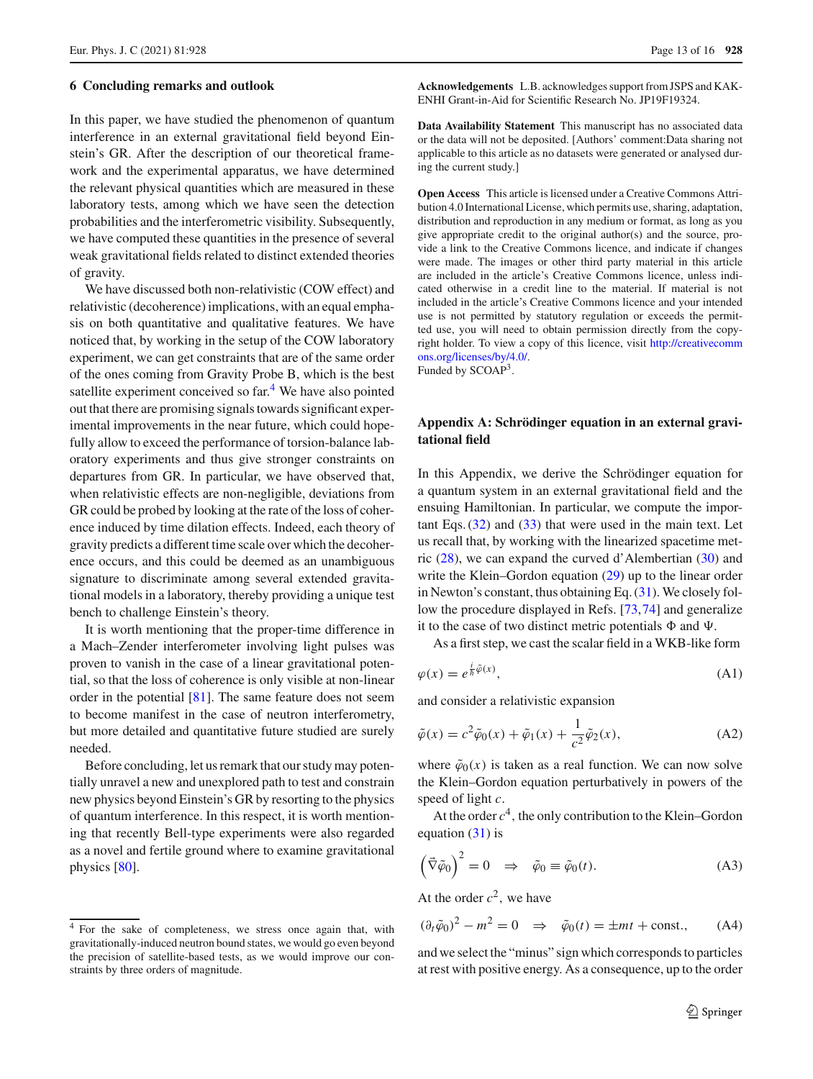#### <span id="page-12-0"></span>**6 Concluding remarks and outlook**

In this paper, we have studied the phenomenon of quantum interference in an external gravitational field beyond Einstein's GR. After the description of our theoretical framework and the experimental apparatus, we have determined the relevant physical quantities which are measured in these laboratory tests, among which we have seen the detection probabilities and the interferometric visibility. Subsequently, we have computed these quantities in the presence of several weak gravitational fields related to distinct extended theories of gravity.

We have discussed both non-relativistic (COW effect) and relativistic (decoherence) implications, with an equal emphasis on both quantitative and qualitative features. We have noticed that, by working in the setup of the COW laboratory experiment, we can get constraints that are of the same order of the ones coming from Gravity Probe B, which is the best satellite experiment conceived so far.<sup>[4](#page-12-2)</sup> We have also pointed out that there are promising signals towards significant experimental improvements in the near future, which could hopefully allow to exceed the performance of torsion-balance laboratory experiments and thus give stronger constraints on departures from GR. In particular, we have observed that, when relativistic effects are non-negligible, deviations from GR could be probed by looking at the rate of the loss of coherence induced by time dilation effects. Indeed, each theory of gravity predicts a different time scale over which the decoherence occurs, and this could be deemed as an unambiguous signature to discriminate among several extended gravitational models in a laboratory, thereby providing a unique test bench to challenge Einstein's theory.

It is worth mentioning that the proper-time difference in a Mach–Zender interferometer involving light pulses was proven to vanish in the case of a linear gravitational potential, so that the loss of coherence is only visible at non-linear order in the potential [\[81](#page-15-15)]. The same feature does not seem to become manifest in the case of neutron interferometry, but more detailed and quantitative future studied are surely needed.

Before concluding, let us remark that our study may potentially unravel a new and unexplored path to test and constrain new physics beyond Einstein's GR by resorting to the physics of quantum interference. In this respect, it is worth mentioning that recently Bell-type experiments were also regarded as a novel and fertile ground where to examine gravitational physics [\[80\]](#page-15-16).

**Acknowledgements** L.B. acknowledges support from JSPS and KAK-ENHI Grant-in-Aid for Scientific Research No. JP19F19324.

**Data Availability Statement** This manuscript has no associated data or the data will not be deposited. [Authors' comment:Data sharing not applicable to this article as no datasets were generated or analysed during the current study.]

**Open Access** This article is licensed under a Creative Commons Attribution 4.0 International License, which permits use, sharing, adaptation, distribution and reproduction in any medium or format, as long as you give appropriate credit to the original author(s) and the source, provide a link to the Creative Commons licence, and indicate if changes were made. The images or other third party material in this article are included in the article's Creative Commons licence, unless indicated otherwise in a credit line to the material. If material is not included in the article's Creative Commons licence and your intended use is not permitted by statutory regulation or exceeds the permitted use, you will need to obtain permission directly from the copyright holder. To view a copy of this licence, visit [http://creativecomm](http://creativecommons.org/licenses/by/4.0/) [ons.org/licenses/by/4.0/.](http://creativecommons.org/licenses/by/4.0/)

Funded by SCOAP<sup>3</sup>.

# <span id="page-12-1"></span>**Appendix A: Schrödinger equation in an external gravitational field**

In this Appendix, we derive the Schrödinger equation for a quantum system in an external gravitational field and the ensuing Hamiltonian. In particular, we compute the important Eqs. [\(32\)](#page-6-1) and [\(33\)](#page-6-2) that were used in the main text. Let us recall that, by working with the linearized spacetime metric [\(28\)](#page-6-0), we can expand the curved d'Alembertian [\(30\)](#page-6-4) and write the Klein–Gordon equation [\(29\)](#page-6-5) up to the linear order in Newton's constant, thus obtaining Eq. [\(31\)](#page-6-6). We closely follow the procedure displayed in Refs. [\[73,](#page-15-8)[74\]](#page-15-9) and generalize it to the case of two distinct metric potentials  $\Phi$  and  $\Psi$ .

As a first step, we cast the scalar field in a WKB-like form

$$
\varphi(x) = e^{\frac{i}{\hbar}\tilde{\varphi}(x)},\tag{A1}
$$

and consider a relativistic expansion

<span id="page-12-3"></span>
$$
\tilde{\varphi}(x) = c^2 \tilde{\varphi}_0(x) + \tilde{\varphi}_1(x) + \frac{1}{c^2} \tilde{\varphi}_2(x),
$$
\n(A2)

where  $\tilde{\varphi}_0(x)$  is taken as a real function. We can now solve the Klein–Gordon equation perturbatively in powers of the speed of light *c*.

At the order  $c<sup>4</sup>$ , the only contribution to the Klein–Gordon equation  $(31)$  is

$$
\left(\vec{\nabla}\tilde{\varphi}_0\right)^2 = 0 \quad \Rightarrow \quad \tilde{\varphi}_0 \equiv \tilde{\varphi}_0(t). \tag{A3}
$$

At the order  $c^2$ , we have

$$
(\partial_t \tilde{\varphi}_0)^2 - m^2 = 0 \quad \Rightarrow \quad \tilde{\varphi}_0(t) = \pm mt + \text{const.}, \tag{A4}
$$

and we select the "minus" sign which corresponds to particles at rest with positive energy. As a consequence, up to the order

<span id="page-12-2"></span><sup>4</sup> For the sake of completeness, we stress once again that, with gravitationally-induced neutron bound states, we would go even beyond the precision of satellite-based tests, as we would improve our constraints by three orders of magnitude.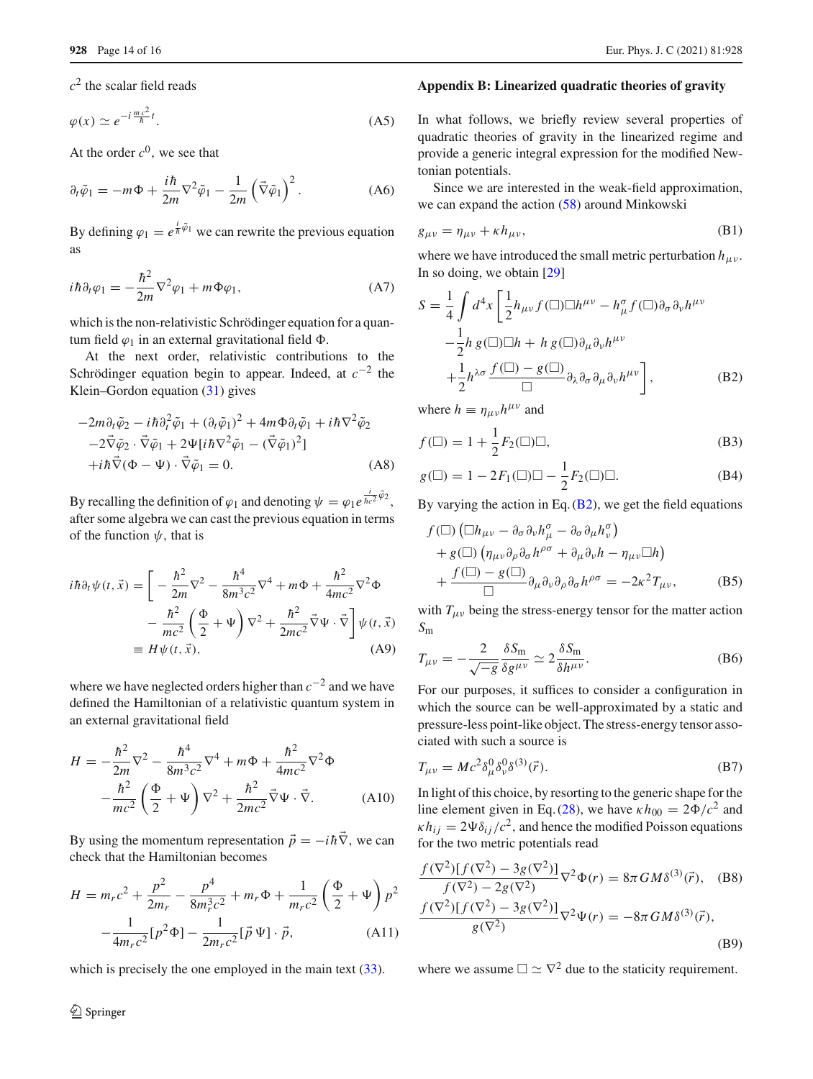$c<sup>2</sup>$  the scalar field reads

$$
\varphi(x) \simeq e^{-i\frac{mc^2}{\hbar}t}.\tag{A5}
$$

At the order  $c^0$ , we see that

$$
\partial_t \tilde{\varphi}_1 = -m\Phi + \frac{i\hbar}{2m} \nabla^2 \tilde{\varphi}_1 - \frac{1}{2m} \left( \vec{\nabla} \tilde{\varphi}_1 \right)^2.
$$
 (A6)

By defining  $\varphi_1 = e^{\frac{i}{\hbar}\tilde{\varphi}_1}$  we can rewrite the previous equation as

$$
i\hbar \partial_t \varphi_1 = -\frac{\hbar^2}{2m} \nabla^2 \varphi_1 + m \Phi \varphi_1,\tag{A7}
$$

which is the non-relativistic Schrödinger equation for a quantum field  $\varphi_1$  in an external gravitational field  $\Phi$ .

At the next order, relativistic contributions to the Schrödinger equation begin to appear. Indeed, at *c*−<sup>2</sup> the Klein–Gordon equation [\(31\)](#page-6-6) gives

<span id="page-13-1"></span>
$$
-2m\partial_t \tilde{\varphi}_2 - i\hbar \partial_t^2 \tilde{\varphi}_1 + (\partial_t \tilde{\varphi}_1)^2 + 4m\Phi \partial_t \tilde{\varphi}_1 + i\hbar \nabla^2 \tilde{\varphi}_2 -2\vec{\nabla}\tilde{\varphi}_2 \cdot \vec{\nabla}\tilde{\varphi}_1 + 2\Psi[i\hbar \nabla^2 \tilde{\varphi}_1 - (\vec{\nabla}\tilde{\varphi}_1)^2] +i\hbar \vec{\nabla}(\Phi - \Psi) \cdot \vec{\nabla}\tilde{\varphi}_1 = 0.
$$
 (A8)

By recalling the definition of  $\varphi_1$  and denoting  $\psi = \varphi_1 e^{\frac{i}{\hbar c^2} \tilde{\varphi}_2}$ , after some algebra we can cast the previous equation in terms of the function  $\psi$ , that is

$$
i\hbar \partial_t \psi(t, \vec{x}) = \left[ -\frac{\hbar^2}{2m} \nabla^2 - \frac{\hbar^4}{8m^3 c^2} \nabla^4 + m\Phi + \frac{\hbar^2}{4mc^2} \nabla^2 \Phi - \frac{\hbar^2}{mc^2} \left( \frac{\Phi}{2} + \Psi \right) \nabla^2 + \frac{\hbar^2}{2mc^2} \vec{\nabla} \Psi \cdot \vec{\nabla} \right] \psi(t, \vec{x})
$$
  
\n
$$
\equiv H \psi(t, \vec{x}), \tag{A9}
$$

where we have neglected orders higher than *c*−<sup>2</sup> and we have defined the Hamiltonian of a relativistic quantum system in an external gravitational field

$$
H = -\frac{\hbar^2}{2m}\nabla^2 - \frac{\hbar^4}{8m^3c^2}\nabla^4 + m\Phi + \frac{\hbar^2}{4mc^2}\nabla^2\Phi
$$

$$
-\frac{\hbar^2}{mc^2}\left(\frac{\Phi}{2} + \Psi\right)\nabla^2 + \frac{\hbar^2}{2mc^2}\vec{\nabla}\Psi \cdot \vec{\nabla}.
$$
 (A10)

By using the momentum representation  $\vec{p} = -i\hbar \vec{\nabla}$ , we can check that the Hamiltonian becomes

$$
H = m_r c^2 + \frac{p^2}{2m_r} - \frac{p^4}{8m_r^3 c^2} + m_r \Phi + \frac{1}{m_r c^2} \left(\frac{\Phi}{2} + \Psi\right) p^2
$$

$$
-\frac{1}{4m_r c^2} [p^2 \Phi] - \frac{1}{2m_r c^2} [\vec{p} \Psi] \cdot \vec{p}, \qquad (A11)
$$

which is precisely the one employed in the main text [\(33\)](#page-6-2).

# <sup>2</sup> Springer

#### <span id="page-13-0"></span>**Appendix B: Linearized quadratic theories of gravity**

In what follows, we briefly review several properties of quadratic theories of gravity in the linearized regime and provide a generic integral expression for the modified Newtonian potentials.

Since we are interested in the weak-field approximation, we can expand the action [\(58\)](#page-9-2) around Minkowski

$$
g_{\mu\nu} = \eta_{\mu\nu} + \kappa h_{\mu\nu},\tag{B1}
$$

where we have introduced the small metric perturbation  $h_{\mu\nu}$ . In so doing, we obtain [\[29\]](#page-14-24)

$$
S = \frac{1}{4} \int d^4x \left[ \frac{1}{2} h_{\mu\nu} f(\Box) \Box h^{\mu\nu} - h_{\mu}^{\sigma} f(\Box) \partial_{\sigma} \partial_{\nu} h^{\mu\nu} - \frac{1}{2} h g(\Box) \Box h + h g(\Box) \partial_{\mu} \partial_{\nu} h^{\mu\nu} + \frac{1}{2} h^{\lambda\sigma} \frac{f(\Box) - g(\Box)}{\Box} \partial_{\lambda} \partial_{\sigma} \partial_{\mu} \partial_{\nu} h^{\mu\nu} \right],
$$
(B2)

where  $h \equiv \eta_{\mu\nu}h^{\mu\nu}$  and

$$
f(\Box) = 1 + \frac{1}{2} F_2(\Box) \Box,
$$
 (B3)

$$
g(\square) = 1 - 2F_1(\square)\square - \frac{1}{2}F_2(\square)\square.
$$
 (B4)

By varying the action in Eq.  $(B2)$ , we get the field equations

$$
f(\Box) (\Box h_{\mu\nu} - \partial_{\sigma} \partial_{\nu} h_{\mu}^{\sigma} - \partial_{\sigma} \partial_{\mu} h_{\nu}^{\sigma})
$$
  
+  $g(\Box) (\eta_{\mu\nu} \partial_{\rho} \partial_{\sigma} h^{\rho \sigma} + \partial_{\mu} \partial_{\nu} h - \eta_{\mu\nu} \Box h)$   
+  $\frac{f(\Box) - g(\Box)}{\Box} \partial_{\mu} \partial_{\nu} \partial_{\rho} \partial_{\sigma} h^{\rho \sigma} = -2\kappa^2 T_{\mu\nu},$  (B5)

with  $T_{\mu\nu}$  being the stress-energy tensor for the matter action *S*m

$$
T_{\mu\nu} = -\frac{2}{\sqrt{-g}} \frac{\delta S_{\rm m}}{\delta g^{\mu\nu}} \simeq 2 \frac{\delta S_{\rm m}}{\delta h^{\mu\nu}}.
$$
 (B6)

For our purposes, it suffices to consider a configuration in which the source can be well-approximated by a static and pressure-less point-like object. The stress-energy tensor associated with such a source is

$$
T_{\mu\nu} = Mc^2 \delta^0_\mu \delta^0_\nu \delta^{(3)}(\vec{r}).
$$
\n(B7)

In light of this choice, by resorting to the generic shape for the line element given in Eq. [\(28\)](#page-6-0), we have  $\kappa h_{00} = 2\Phi/c^2$  and  $\kappa h_{ij} = 2\Psi \delta_{ij}/c^2$ , and hence the modified Poisson equations for the two metric potentials read

$$
\frac{f(\nabla^2)[f(\nabla^2) - 3g(\nabla^2)]}{f(\nabla^2) - 2g(\nabla^2)} \nabla^2 \Phi(r) = 8\pi G M \delta^{(3)}(\vec{r}), \quad \text{(B8)}
$$
\n
$$
\frac{f(\nabla^2)[f(\nabla^2) - 3g(\nabla^2)]}{g(\nabla^2)} \nabla^2 \Psi(r) = -8\pi G M \delta^{(3)}(\vec{r}), \quad \text{(B9)}
$$

where we assume  $\Box \simeq \nabla^2$  due to the staticity requirement.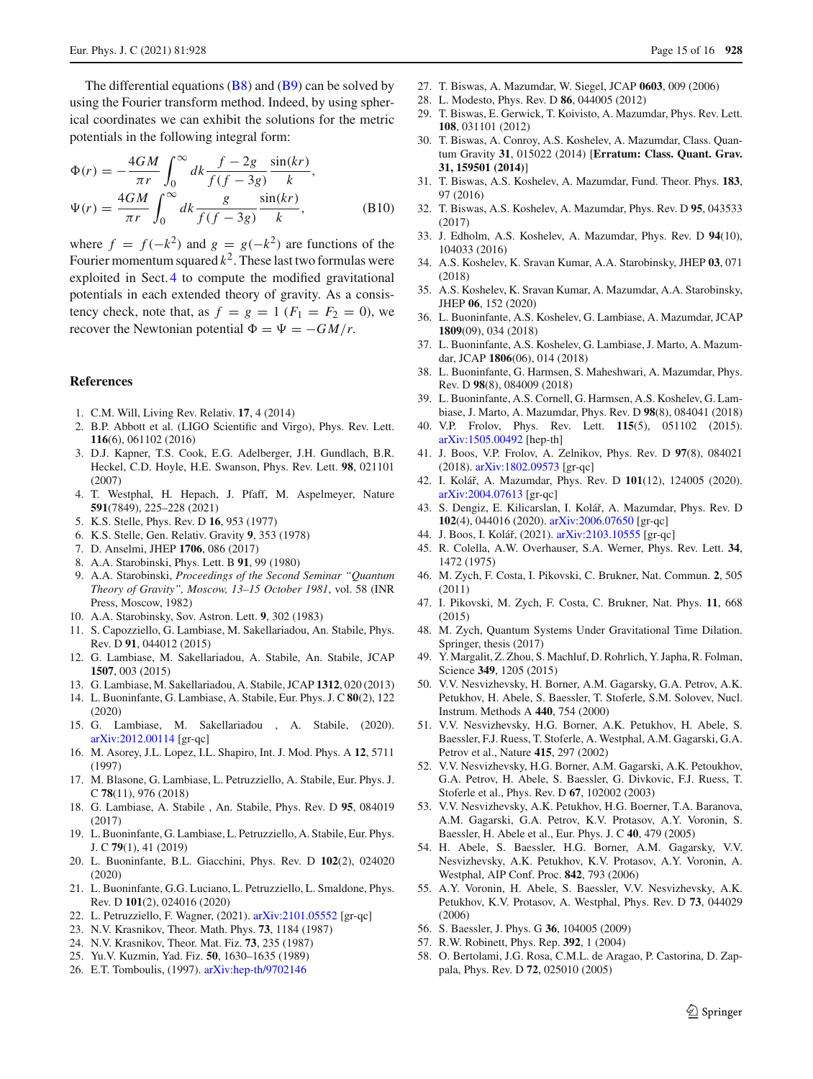The differential equations  $(B8)$  and  $(B9)$  can be solved by using the Fourier transform method. Indeed, by using spherical coordinates we can exhibit the solutions for the metric potentials in the following integral form:

$$
\Phi(r) = -\frac{4GM}{\pi r} \int_0^\infty dk \frac{f - 2g}{f(f - 3g)} \frac{\sin(kr)}{k},
$$
  

$$
\Psi(r) = \frac{4GM}{\pi r} \int_0^\infty dk \frac{g}{f(f - 3g)} \frac{\sin(kr)}{k},
$$
(B10)

where  $f = f(-k^2)$  and  $g = g(-k^2)$  are functions of the Fourier momentum squared  $k^2$ . These last two formulas were exploited in Sect. [4](#page-9-0) to compute the modified gravitational potentials in each extended theory of gravity. As a consistency check, note that, as  $f = g = 1$  ( $F_1 = F_2 = 0$ ), we recover the Newtonian potential  $\Phi = \Psi = -GM/r$ .

#### **References**

- <span id="page-14-0"></span>1. C.M. Will, Living Rev. Relativ. **17**, 4 (2014)
- <span id="page-14-1"></span>2. B.P. Abbott et al. (LIGO Scientific and Virgo), Phys. Rev. Lett. **116**(6), 061102 (2016)
- <span id="page-14-2"></span>3. D.J. Kapner, T.S. Cook, E.G. Adelberger, J.H. Gundlach, B.R. Heckel, C.D. Hoyle, H.E. Swanson, Phys. Rev. Lett. **98**, 021101 (2007)
- <span id="page-14-3"></span>4. T. Westphal, H. Hepach, J. Pfaff, M. Aspelmeyer, Nature **591**(7849), 225–228 (2021)
- <span id="page-14-4"></span>5. K.S. Stelle, Phys. Rev. D **16**, 953 (1977)
- <span id="page-14-5"></span>6. K.S. Stelle, Gen. Relativ. Gravity **9**, 353 (1978)
- <span id="page-14-6"></span>7. D. Anselmi, JHEP **1706**, 086 (2017)
- <span id="page-14-7"></span>8. A.A. Starobinski, Phys. Lett. B **91**, 99 (1980)
- 9. A.A. Starobinski, *Proceedings of the Second Seminar "Quantum Theory of Gravity", Moscow, 13–15 October 1981*, vol. 58 (INR Press, Moscow, 1982)
- <span id="page-14-8"></span>10. A.A. Starobinsky, Sov. Astron. Lett. **9**, 302 (1983)
- <span id="page-14-9"></span>11. S. Capozziello, G. Lambiase, M. Sakellariadou, An. Stabile, Phys. Rev. D **91**, 044012 (2015)
- 12. G. Lambiase, M. Sakellariadou, A. Stabile, An. Stabile, JCAP **1507**, 003 (2015)
- 13. G. Lambiase, M. Sakellariadou, A. Stabile, JCAP **1312**, 020 (2013)
- 14. L. Buoninfante, G. Lambiase, A. Stabile, Eur. Phys. J. C **80**(2), 122 (2020)
- 15. G. Lambiase, M. Sakellariadou , A. Stabile, (2020). [arXiv:2012.00114](http://arxiv.org/abs/2012.00114) [gr-qc]
- 16. M. Asorey, J.L. Lopez, I.L. Shapiro, Int. J. Mod. Phys. A **12**, 5711 (1997)
- 17. M. Blasone, G. Lambiase, L. Petruzziello, A. Stabile, Eur. Phys. J. C **78**(11), 976 (2018)
- 18. G. Lambiase, A. Stabile , An. Stabile, Phys. Rev. D **95**, 084019 (2017)
- 19. L. Buoninfante, G. Lambiase, L. Petruzziello, A. Stabile, Eur. Phys. J. C **79**(1), 41 (2019)
- 20. L. Buoninfante, B.L. Giacchini, Phys. Rev. D **102**(2), 024020 (2020)
- 21. L. Buoninfante, G.G. Luciano, L. Petruzziello, L. Smaldone, Phys. Rev. D **101**(2), 024016 (2020)
- <span id="page-14-10"></span>22. L. Petruzziello, F. Wagner, (2021). [arXiv:2101.05552](http://arxiv.org/abs/2101.05552) [gr-qc]
- <span id="page-14-11"></span>23. N.V. Krasnikov, Theor. Math. Phys. **73**, 1184 (1987)
- 24. N.V. Krasnikov, Theor. Mat. Fiz. **73**, 235 (1987)
- 25. Yu.V. Kuzmin, Yad. Fiz. **50**, 1630–1635 (1989)
- 26. E.T. Tomboulis, (1997). [arXiv:hep-th/9702146](http://arxiv.org/abs/hep-th/9702146)
- <span id="page-14-21"></span>27. T. Biswas, A. Mazumdar, W. Siegel, JCAP **0603**, 009 (2006)
- 28. L. Modesto, Phys. Rev. D **86**, 044005 (2012)
- <span id="page-14-24"></span>29. T. Biswas, E. Gerwick, T. Koivisto, A. Mazumdar, Phys. Rev. Lett. **108**, 031101 (2012)
- 30. T. Biswas, A. Conroy, A.S. Koshelev, A. Mazumdar, Class. Quantum Gravity **31**, 015022 (2014) [**Erratum: Class. Quant. Grav. 31, 159501 (2014)**]
- <span id="page-14-22"></span>31. T. Biswas, A.S. Koshelev, A. Mazumdar, Fund. Theor. Phys. **183**, 97 (2016)
- <span id="page-14-23"></span>32. T. Biswas, A.S. Koshelev, A. Mazumdar, Phys. Rev. D **95**, 043533 (2017)
- 33. J. Edholm, A.S. Koshelev, A. Mazumdar, Phys. Rev. D **94**(10), 104033 (2016)
- 34. A.S. Koshelev, K. Sravan Kumar, A.A. Starobinsky, JHEP **03**, 071 (2018)
- 35. A.S. Koshelev, K. Sravan Kumar, A. Mazumdar, A.A. Starobinsky, JHEP **06**, 152 (2020)
- 36. L. Buoninfante, A.S. Koshelev, G. Lambiase, A. Mazumdar, JCAP **1809**(09), 034 (2018)
- 37. L. Buoninfante, A.S. Koshelev, G. Lambiase, J. Marto, A. Mazumdar, JCAP **1806**(06), 014 (2018)
- 38. L. Buoninfante, G. Harmsen, S. Maheshwari, A. Mazumdar, Phys. Rev. D **98**(8), 084009 (2018)
- 39. L. Buoninfante, A.S. Cornell, G. Harmsen, A.S. Koshelev, G. Lambiase, J. Marto, A. Mazumdar, Phys. Rev. D **98**(8), 084041 (2018)
- 40. V.P. Frolov, Phys. Rev. Lett. **115**(5), 051102 (2015). [arXiv:1505.00492](http://arxiv.org/abs/1505.00492) [hep-th]
- 41. J. Boos, V.P. Frolov, A. Zelnikov, Phys. Rev. D **97**(8), 084021 (2018). [arXiv:1802.09573](http://arxiv.org/abs/1802.09573) [gr-qc]
- 42. I. Koláˇr, A. Mazumdar, Phys. Rev. D **101**(12), 124005 (2020). [arXiv:2004.07613](http://arxiv.org/abs/2004.07613) [gr-qc]
- 43. S. Dengiz, E. Kilicarslan, I. Kolář, A. Mazumdar, Phys. Rev. D **102**(4), 044016 (2020). [arXiv:2006.07650](http://arxiv.org/abs/2006.07650) [gr-qc]
- <span id="page-14-12"></span>44. J. Boos, I. Kolář, (2021). [arXiv:2103.10555](http://arxiv.org/abs/2103.10555) [gr-qc]
- <span id="page-14-13"></span>45. R. Colella, A.W. Overhauser, S.A. Werner, Phys. Rev. Lett. **34**, 1472 (1975)
- <span id="page-14-14"></span>46. M. Zych, F. Costa, I. Pikovski, C. Brukner, Nat. Commun. **2**, 505 (2011)
- <span id="page-14-20"></span>47. I. Pikovski, M. Zych, F. Costa, C. Brukner, Nat. Phys. **11**, 668 (2015)
- <span id="page-14-15"></span>48. M. Zych, Quantum Systems Under Gravitational Time Dilation. Springer, thesis (2017)
- <span id="page-14-16"></span>49. Y. Margalit, Z. Zhou, S. Machluf, D. Rohrlich, Y. Japha, R. Folman, Science **349**, 1205 (2015)
- <span id="page-14-17"></span>50. V.V. Nesvizhevsky, H. Borner, A.M. Gagarsky, G.A. Petrov, A.K. Petukhov, H. Abele, S. Baessler, T. Stoferle, S.M. Solovev, Nucl. Instrum. Methods A **440**, 754 (2000)
- 51. V.V. Nesvizhevsky, H.G. Borner, A.K. Petukhov, H. Abele, S. Baessler, F.J. Ruess, T. Stoferle, A. Westphal, A.M. Gagarski, G.A. Petrov et al., Nature **415**, 297 (2002)
- <span id="page-14-25"></span>52. V.V. Nesvizhevsky, H.G. Borner, A.M. Gagarski, A.K. Petoukhov, G.A. Petrov, H. Abele, S. Baessler, G. Divkovic, F.J. Ruess, T. Stoferle et al., Phys. Rev. D **67**, 102002 (2003)
- 53. V.V. Nesvizhevsky, A.K. Petukhov, H.G. Boerner, T.A. Baranova, A.M. Gagarski, G.A. Petrov, K.V. Protasov, A.Y. Voronin, S. Baessler, H. Abele et al., Eur. Phys. J. C **40**, 479 (2005)
- 54. H. Abele, S. Baessler, H.G. Borner, A.M. Gagarsky, V.V. Nesvizhevsky, A.K. Petukhov, K.V. Protasov, A.Y. Voronin, A. Westphal, AIP Conf. Proc. **842**, 793 (2006)
- 55. A.Y. Voronin, H. Abele, S. Baessler, V.V. Nesvizhevsky, A.K. Petukhov, K.V. Protasov, A. Westphal, Phys. Rev. D **73**, 044029 (2006)
- <span id="page-14-18"></span>56. S. Baessler, J. Phys. G **36**, 104005 (2009)
- <span id="page-14-19"></span>57. R.W. Robinett, Phys. Rep. **392**, 1 (2004)
- 58. O. Bertolami, J.G. Rosa, C.M.L. de Aragao, P. Castorina, D. Zappala, Phys. Rev. D **72**, 025010 (2005)